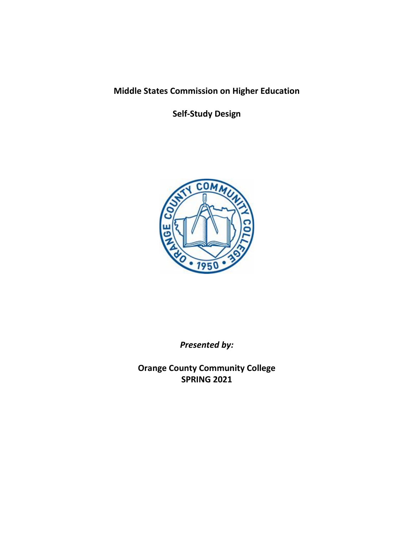# **Middle States Commission on Higher Education**

**Self-Study Design**



*Presented by:*

**Orange County Community College SPRING 2021**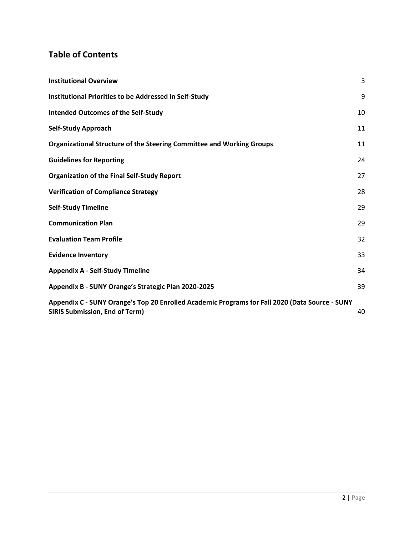# **Table of Contents**

| <b>Institutional Overview</b>                                                                                                           | 3  |
|-----------------------------------------------------------------------------------------------------------------------------------------|----|
| Institutional Priorities to be Addressed in Self-Study                                                                                  | 9  |
| <b>Intended Outcomes of the Self-Study</b>                                                                                              | 10 |
| <b>Self-Study Approach</b>                                                                                                              | 11 |
| Organizational Structure of the Steering Committee and Working Groups                                                                   | 11 |
| <b>Guidelines for Reporting</b>                                                                                                         | 24 |
| <b>Organization of the Final Self-Study Report</b>                                                                                      | 27 |
| <b>Verification of Compliance Strategy</b>                                                                                              | 28 |
| <b>Self-Study Timeline</b>                                                                                                              | 29 |
| <b>Communication Plan</b>                                                                                                               | 29 |
| <b>Evaluation Team Profile</b>                                                                                                          | 32 |
| <b>Evidence Inventory</b>                                                                                                               | 33 |
| <b>Appendix A - Self-Study Timeline</b>                                                                                                 | 34 |
| Appendix B - SUNY Orange's Strategic Plan 2020-2025                                                                                     | 39 |
| Appendix C - SUNY Orange's Top 20 Enrolled Academic Programs for Fall 2020 (Data Source - SUNY<br><b>SIRIS Submission, End of Term)</b> | 40 |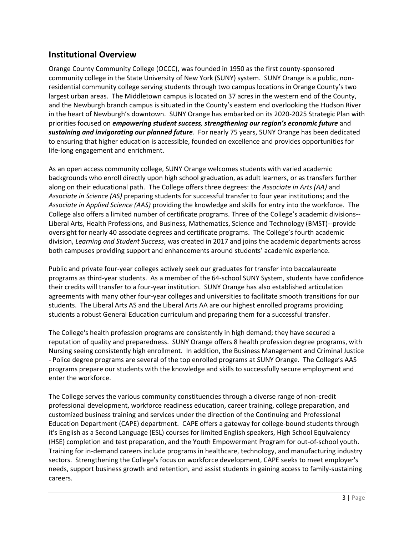## <span id="page-2-0"></span>**Institutional Overview**

Orange County Community College (OCCC), was founded in 1950 as the first county-sponsored community college in the State University of New York (SUNY) system. SUNY Orange is a public, nonresidential community college serving students through two campus locations in Orange County's two largest urban areas. The Middletown campus is located on 37 acres in the western end of the County, and the Newburgh branch campus is situated in the County's eastern end overlooking the Hudson River in the heart of Newburgh's downtown. SUNY Orange has embarked on its 2020-2025 Strategic Plan with priorities focused on *empowering student success, strengthening our region's economic future* and *sustaining and invigorating our planned future*. For nearly 75 years, SUNY Orange has been dedicated to ensuring that higher education is accessible, founded on excellence and provides opportunities for life-long engagement and enrichment.

As an open access community college, SUNY Orange welcomes students with varied academic backgrounds who enroll directly upon high school graduation, as adult learners, or as transfers further along on their educational path. The College offers three degrees: the *Associate in Arts (AA)* and *Associate in Science (AS)* preparing students for successful transfer to four year institutions; and the *Associate in Applied Science (AAS)* providing the knowledge and skills for entry into the workforce. The College also offers a limited number of certificate programs. Three of the College's academic divisions-- Liberal Arts, Health Professions, and Business, Mathematics, Science and Technology (BMST)--provide oversight for nearly 40 associate degrees and certificate programs. The College's fourth academic division, *Learning and Student Success*, was created in 2017 and joins the academic departments across both campuses providing support and enhancements around students' academic experience.

Public and private four-year colleges actively seek our graduates for transfer into baccalaureate programs as third-year students. As a member of the 64-school SUNY System, students have confidence their credits will transfer to a four-year institution. SUNY Orange has also established articulation agreements with many other four-year colleges and universities to facilitate smooth transitions for our students. The Liberal Arts AS and the Liberal Arts AA are our highest enrolled programs providing students a robust General Education curriculum and preparing them for a successful transfer.

The College's health profession programs are consistently in high demand; they have secured a reputation of quality and preparedness. SUNY Orange offers 8 health profession degree programs, with Nursing seeing consistently high enrollment. In addition, the Business Management and Criminal Justice - Police degree programs are several of the top enrolled programs at SUNY Orange. The College's AAS programs prepare our students with the knowledge and skills to successfully secure employment and enter the workforce.

The College serves the various community constituencies through a diverse range of non-credit professional development, workforce readiness education, career training, college preparation, and customized business training and services under the direction of the Continuing and Professional Education Department (CAPE) department. CAPE offers a gateway for college-bound students through it's English as a Second Language (ESL) courses for limited English speakers, High School Equivalency (HSE) completion and test preparation, and the Youth Empowerment Program for out-of-school youth. Training for in-demand careers include programs in healthcare, technology, and manufacturing industry sectors. Strengthening the College's focus on workforce development, CAPE seeks to meet employer's needs, support business growth and retention, and assist students in gaining access to family-sustaining careers.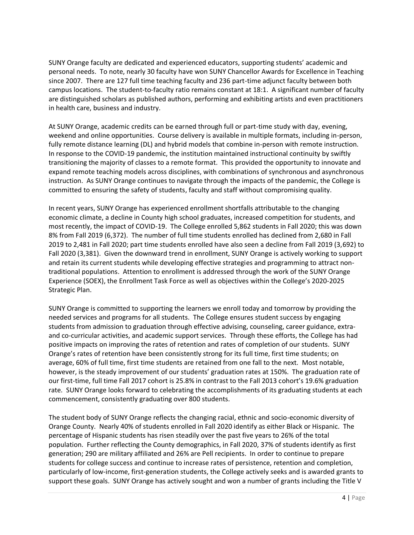SUNY Orange faculty are dedicated and experienced educators, supporting students' academic and personal needs. To note, nearly 30 faculty have won SUNY Chancellor Awards for Excellence in Teaching since 2007. There are 127 full time teaching faculty and 236 part-time adjunct faculty between both campus locations. The student-to-faculty ratio remains constant at 18:1. A significant number of faculty are distinguished scholars as published authors, performing and exhibiting artists and even practitioners in health care, business and industry.

At SUNY Orange, academic credits can be earned through full or part-time study with day, evening, weekend and online opportunities. Course delivery is available in multiple formats, including in-person, fully remote distance learning (DL) and hybrid models that combine in-person with remote instruction. In response to the COVID-19 pandemic, the institution maintained instructional continuity by swiftly transitioning the majority of classes to a remote format. This provided the opportunity to innovate and expand remote teaching models across disciplines, with combinations of synchronous and asynchronous instruction. As SUNY Orange continues to navigate through the impacts of the pandemic, the College is committed to ensuring the safety of students, faculty and staff without compromising quality.

In recent years, SUNY Orange has experienced enrollment shortfalls attributable to the changing economic climate, a decline in County high school graduates, increased competition for students, and most recently, the impact of COVID-19. The College enrolled 5,862 students in Fall 2020; this was down 8% from Fall 2019 (6,372). The number of full time students enrolled has declined from 2,680 in Fall 2019 to 2,481 in Fall 2020; part time students enrolled have also seen a decline from Fall 2019 (3,692) to Fall 2020 (3,381). Given the downward trend in enrollment, SUNY Orange is actively working to support and retain its current students while developing effective strategies and programming to attract nontraditional populations. Attention to enrollment is addressed through the work of the SUNY Orange Experience (SOEX), the Enrollment Task Force as well as objectives within the College's 2020-2025 Strategic Plan.

SUNY Orange is committed to supporting the learners we enroll today and tomorrow by providing the needed services and programs for all students. The College ensures student success by engaging students from admission to graduation through effective advising, counseling, career guidance, extraand co-curricular activities, and academic support services. Through these efforts, the College has had positive impacts on improving the rates of retention and rates of completion of our students. SUNY Orange's rates of retention have been consistently strong for its full time, first time students; on average, 60% of full time, first time students are retained from one fall to the next. Most notable, however, is the steady improvement of our students' graduation rates at 150%. The graduation rate of our first-time, full time Fall 2017 cohort is 25.8% in contrast to the Fall 2013 cohort's 19.6% graduation rate. SUNY Orange looks forward to celebrating the accomplishments of its graduating students at each commencement, consistently graduating over 800 students.

The student body of SUNY Orange reflects the changing racial, ethnic and socio-economic diversity of Orange County. Nearly 40% of students enrolled in Fall 2020 identify as either Black or Hispanic. The percentage of Hispanic students has risen steadily over the past five years to 26% of the total population. Further reflecting the County demographics, in Fall 2020, 37% of students identify as first generation; 290 are military affiliated and 26% are Pell recipients. In order to continue to prepare students for college success and continue to increase rates of persistence, retention and completion, particularly of low-income, first-generation students, the College actively seeks and is awarded grants to support these goals. SUNY Orange has actively sought and won a number of grants including the Title V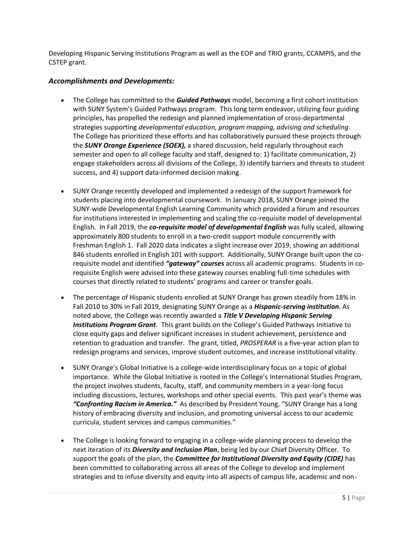Developing Hispanic Serving Institutions Program as well as the EOP and TRIO grants, CCAMPIS, and the CSTEP grant.

### *Accomplishments and Developments:*

- The College has committed to the *Guided Pathways* model, becoming a first cohort institution with SUNY System's Guided Pathways program. This long term endeavor, utilizing four guiding principles, has propelled the redesign and planned implementation of cross-departmental strategies supporting *developmental education, program mapping, advising and scheduling*. The College has prioritized these efforts and has collaboratively pursued these projects through the *SUNY Orange Experience (SOEX),* a shared discussion, held regularly throughout each semester and open to all college faculty and staff, designed to: 1) facilitate communication, 2) engage stakeholders across all divisions of the College, 3) identify barriers and threats to student success, and 4) support data-informed decision making.
- SUNY Orange recently developed and implemented a redesign of the support framework for students placing into developmental coursework. In January 2018, SUNY Orange joined the SUNY-wide Developmental English Learning Community which provided a forum and resources for institutions interested in implementing and scaling the co-requisite model of developmental English. In Fall 2019, the *co-requisite model of developmental English* was fully scaled, allowing approximately 800 students to enroll in a two-credit support module concurrently with Freshman English 1. Fall 2020 data indicates a slight increase over 2019, showing an additional 846 students enrolled in English 101 with support. Additionally, SUNY Orange built upon the corequisite model and identified *"gateway" courses* across all academic programs. Students in corequisite English were advised into these gateway courses enabling full-time schedules with courses that directly related to students' programs and career or transfer goals.
- The percentage of Hispanic students enrolled at SUNY Orange has grown steadily from 18% in Fall 2010 to 30% in Fall 2019, designating SUNY Orange as a *Hispanic-serving institution*. As noted above, the College was recently awarded a *Title V Developing Hispanic Serving Institutions Program Grant*. This grant builds on the College's Guided Pathways Initiative to close equity gaps and deliver significant increases in student achievement, persistence and retention to graduation and transfer. The grant, titled, *PROSPERAR* is a five-year action plan to redesign programs and services, improve student outcomes, and increase institutional vitality.
- SUNY Orange's Global Initiative is a college-wide interdisciplinary focus on a topic of global importance. While the Global Initiative is rooted in the College's International Studies Program, the project involves students, faculty, staff, and community members in a year-long focus including discussions, lectures, workshops and other special events. This past year's theme was *"Confronting Racism in America."* As described by President Young, "SUNY Orange has a long history of embracing diversity and inclusion, and promoting universal access to our academic curricula, student services and campus communities."
- The College is looking forward to engaging in a college-wide planning process to develop the next iteration of its *Diversity and Inclusion Plan*, being led by our Chief Diversity Officer. To support the goals of the plan, the *Committee for Institutional Diversity and Equity (CIDE)* has been committed to collaborating across all areas of the College to develop and implement strategies and to infuse diversity and equity into all aspects of campus life, academic and non-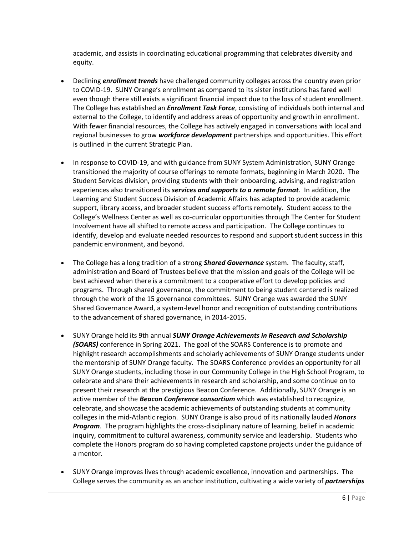academic, and assists in coordinating educational programming that celebrates diversity and equity.

- Declining *enrollment trends* have challenged community colleges across the country even prior to COVID-19. SUNY Orange's enrollment as compared to its sister institutions has fared well even though there still exists a significant financial impact due to the loss of student enrollment. The College has established an *Enrollment Task Force*, consisting of individuals both internal and external to the College, to identify and address areas of opportunity and growth in enrollment. With fewer financial resources, the College has actively engaged in conversations with local and regional businesses to grow *workforce development* partnerships and opportunities. This effort is outlined in the current Strategic Plan.
- In response to COVID-19, and with guidance from SUNY System Administration, SUNY Orange transitioned the majority of course offerings to remote formats, beginning in March 2020. The Student Services division, providing students with their onboarding, advising, and registration experiences also transitioned its *services and supports to a remote format*. In addition, the Learning and Student Success Division of Academic Affairs has adapted to provide academic support, library access, and broader student success efforts remotely. Student access to the College's Wellness Center as well as co-curricular opportunities through The Center for Student Involvement have all shifted to remote access and participation. The College continues to identify, develop and evaluate needed resources to respond and support student success in this pandemic environment, and beyond.
- The College has a long tradition of a strong *Shared Governance* system. The faculty, staff, administration and Board of Trustees believe that the mission and goals of the College will be best achieved when there is a commitment to a cooperative effort to develop policies and programs. Through shared governance, the commitment to being student centered is realized through the work of the 15 governance committees. SUNY Orange was awarded the SUNY Shared Governance Award, a system-level honor and recognition of outstanding contributions to the advancement of shared governance, in 2014-2015.
- SUNY Orange held its 9th annual *SUNY Orange Achievements in Research and Scholarship (SOARS)* conference in Spring 2021. The goal of the SOARS Conference is to promote and highlight research accomplishments and scholarly achievements of SUNY Orange students under the mentorship of SUNY Orange faculty. The SOARS Conference provides an opportunity for all SUNY Orange students, including those in our Community College in the High School Program, to celebrate and share their achievements in research and scholarship, and some continue on to present their research at the prestigious Beacon Conference. Additionally, SUNY Orange is an active member of the *Beacon Conference consortium* which was established to recognize, celebrate, and showcase the academic achievements of outstanding students at community colleges in the mid-Atlantic region. SUNY Orange is also proud of its nationally lauded *Honors Program*. The program highlights the cross-disciplinary nature of learning, belief in academic inquiry, commitment to cultural awareness, community service and leadership. Students who complete the Honors program do so having completed capstone projects under the guidance of a mentor.
- SUNY Orange improves lives through academic excellence, innovation and partnerships. The College serves the community as an anchor institution, cultivating a wide variety of *partnerships*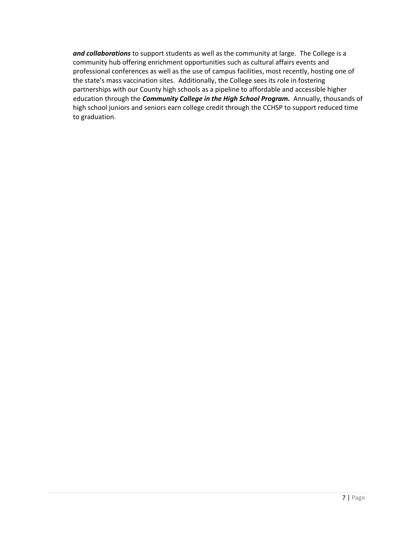*and collaborations* to support students as well as the community at large. The College is a community hub offering enrichment opportunities such as cultural affairs events and professional conferences as well as the use of campus facilities, most recently, hosting one of the state's mass vaccination sites. Additionally, the College sees its role in fostering partnerships with our County high schools as a pipeline to affordable and accessible higher education through the *Community College in the High School Program.* Annually, thousands of high school juniors and seniors earn college credit through the CCHSP to support reduced time to graduation.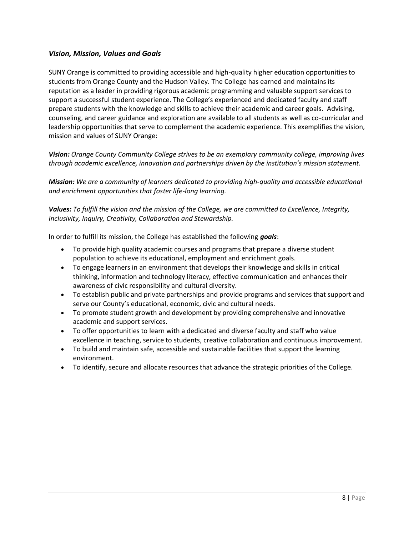### *Vision, Mission, Values and Goals*

SUNY Orange is committed to providing accessible and high-quality higher education opportunities to students from Orange County and the Hudson Valley. The College has earned and maintains its reputation as a leader in providing rigorous academic programming and valuable support services to support a successful student experience. The College's experienced and dedicated faculty and staff prepare students with the knowledge and skills to achieve their academic and career goals. Advising, counseling, and career guidance and exploration are available to all students as well as co-curricular and leadership opportunities that serve to complement the academic experience. This exemplifies the vision, mission and values of SUNY Orange:

*Vision: Orange County Community College strives to be an exemplary community college, improving lives through academic excellence, innovation and partnerships driven by the institution's mission statement.*

*Mission: We are a community of learners dedicated to providing high-quality and accessible educational and enrichment opportunities that foster life-long learning.*

*Values: To fulfill the vision and the mission of the College, we are committed to Excellence, Integrity, Inclusivity, Inquiry, Creativity, Collaboration and Stewardship.*

In order to fulfill its mission, the College has established the following *goals*:

- To provide high quality academic courses and programs that prepare a diverse student population to achieve its educational, employment and enrichment goals.
- To engage learners in an environment that develops their knowledge and skills in critical thinking, information and technology literacy, effective communication and enhances their awareness of civic responsibility and cultural diversity.
- To establish public and private partnerships and provide programs and services that support and serve our County's educational, economic, civic and cultural needs.
- To promote student growth and development by providing comprehensive and innovative academic and support services.
- To offer opportunities to learn with a dedicated and diverse faculty and staff who value excellence in teaching, service to students, creative collaboration and continuous improvement.
- To build and maintain safe, accessible and sustainable facilities that support the learning environment.
- To identify, secure and allocate resources that advance the strategic priorities of the College.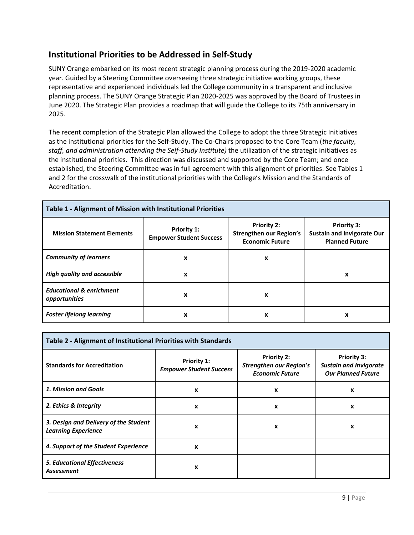## <span id="page-8-0"></span>**Institutional Priorities to be Addressed in Self-Study**

SUNY Orange embarked on its most recent strategic planning process during the 2019-2020 academic year. Guided by a Steering Committee overseeing three strategic initiative working groups, these representative and experienced individuals led the College community in a transparent and inclusive planning process. The SUNY Orange Strategic Plan 2020-2025 was approved by the Board of Trustees in June 2020. The Strategic Plan provides a roadmap that will guide the College to its 75th anniversary in 2025.

The recent completion of the Strategic Plan allowed the College to adopt the three Strategic Initiatives as the institutional priorities for the Self-Study. The Co-Chairs proposed to the Core Team (*the faculty, staff, and administration attending the Self-Study Institute)* the utilization of the strategic initiatives as the institutional priorities. This direction was discussed and supported by the Core Team; and once established, the Steering Committee was in full agreement with this alignment of priorities. See Tables 1 and 2 for the crosswalk of the institutional priorities with the College's Mission and the Standards of Accreditation.

| Table 1 - Alignment of Mission with Institutional Priorities |                                               |                                                                                |                                                                                  |
|--------------------------------------------------------------|-----------------------------------------------|--------------------------------------------------------------------------------|----------------------------------------------------------------------------------|
| <b>Mission Statement Elements</b>                            | Priority 1:<br><b>Empower Student Success</b> | <b>Priority 2:</b><br><b>Strengthen our Region's</b><br><b>Economic Future</b> | <b>Priority 3:</b><br><b>Sustain and Invigorate Our</b><br><b>Planned Future</b> |
| <b>Community of learners</b>                                 | X                                             | x                                                                              |                                                                                  |
| <b>High quality and accessible</b>                           | X                                             |                                                                                | x                                                                                |
| <b>Educational &amp; enrichment</b><br>opportunities         | X                                             | x                                                                              |                                                                                  |
| <b>Foster lifelong learning</b>                              | x                                             | x                                                                              | x                                                                                |

| Table 2 - Alignment of Institutional Priorities with Standards      |                                                      |                                                                                |                                                                                  |
|---------------------------------------------------------------------|------------------------------------------------------|--------------------------------------------------------------------------------|----------------------------------------------------------------------------------|
| <b>Standards for Accreditation</b>                                  | <b>Priority 1:</b><br><b>Empower Student Success</b> | <b>Priority 2:</b><br><b>Strengthen our Region's</b><br><b>Economic Future</b> | <b>Priority 3:</b><br><b>Sustain and Invigorate</b><br><b>Our Planned Future</b> |
| 1. Mission and Goals                                                | X                                                    | X                                                                              | $\boldsymbol{\mathsf{x}}$                                                        |
| 2. Ethics & Integrity                                               | X                                                    | X                                                                              | x                                                                                |
| 3. Design and Delivery of the Student<br><b>Learning Experience</b> | X                                                    | X                                                                              | x                                                                                |
| 4. Support of the Student Experience                                | X                                                    |                                                                                |                                                                                  |
| <b>5. Educational Effectiveness</b><br><b>Assessment</b>            | X                                                    |                                                                                |                                                                                  |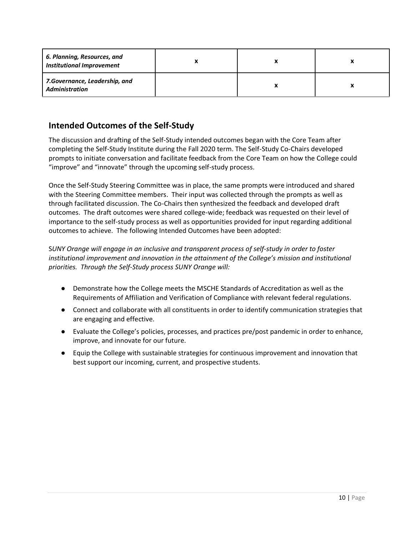| 6. Planning, Resources, and<br><b>Institutional Improvement</b> |  |  |
|-----------------------------------------------------------------|--|--|
| 7.Governance, Leadership, and<br><b>Administration</b>          |  |  |

## <span id="page-9-0"></span>**Intended Outcomes of the Self-Study**

The discussion and drafting of the Self-Study intended outcomes began with the Core Team after completing the Self-Study Institute during the Fall 2020 term. The Self-Study Co-Chairs developed prompts to initiate conversation and facilitate feedback from the Core Team on how the College could "improve" and "innovate" through the upcoming self-study process.

Once the Self-Study Steering Committee was in place, the same prompts were introduced and shared with the Steering Committee members. Their input was collected through the prompts as well as through facilitated discussion. The Co-Chairs then synthesized the feedback and developed draft outcomes. The draft outcomes were shared college-wide; feedback was requested on their level of importance to the self-study process as well as opportunities provided for input regarding additional outcomes to achieve. The following Intended Outcomes have been adopted:

S*UNY Orange will engage in an inclusive and transparent process of self-study in order to foster institutional improvement and innovation in the attainment of the College's mission and institutional priorities. Through the Self-Study process SUNY Orange will:*

- Demonstrate how the College meets the MSCHE Standards of Accreditation as well as the Requirements of Affiliation and Verification of Compliance with relevant federal regulations.
- Connect and collaborate with all constituents in order to identify communication strategies that are engaging and effective.
- Evaluate the College's policies, processes, and practices pre/post pandemic in order to enhance, improve, and innovate for our future.
- Equip the College with sustainable strategies for continuous improvement and innovation that best support our incoming, current, and prospective students.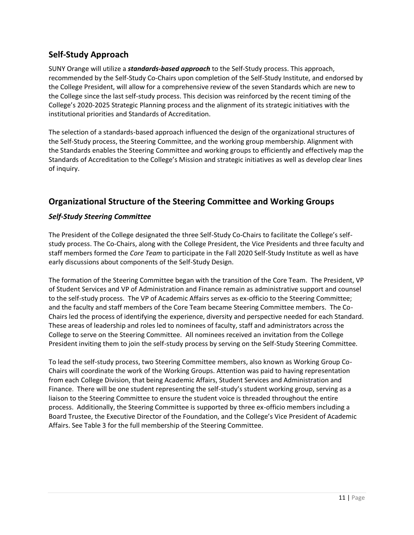## <span id="page-10-0"></span>**Self-Study Approach**

SUNY Orange will utilize a *standards-based approach* to the Self-Study process. This approach, recommended by the Self-Study Co-Chairs upon completion of the Self-Study Institute, and endorsed by the College President, will allow for a comprehensive review of the seven Standards which are new to the College since the last self-study process. This decision was reinforced by the recent timing of the College's 2020-2025 Strategic Planning process and the alignment of its strategic initiatives with the institutional priorities and Standards of Accreditation.

The selection of a standards-based approach influenced the design of the organizational structures of the Self-Study process, the Steering Committee, and the working group membership. Alignment with the Standards enables the Steering Committee and working groups to efficiently and effectively map the Standards of Accreditation to the College's Mission and strategic initiatives as well as develop clear lines of inquiry.

## <span id="page-10-1"></span>**Organizational Structure of the Steering Committee and Working Groups**

### *Self-Study Steering Committee*

The President of the College designated the three Self-Study Co-Chairs to facilitate the College's selfstudy process. The Co-Chairs, along with the College President, the Vice Presidents and three faculty and staff members formed the *Core Team* to participate in the Fall 2020 Self-Study Institute as well as have early discussions about components of the Self-Study Design.

The formation of the Steering Committee began with the transition of the Core Team. The President, VP of Student Services and VP of Administration and Finance remain as administrative support and counsel to the self-study process. The VP of Academic Affairs serves as ex-officio to the Steering Committee; and the faculty and staff members of the Core Team became Steering Committee members. The Co-Chairs led the process of identifying the experience, diversity and perspective needed for each Standard. These areas of leadership and roles led to nominees of faculty, staff and administrators across the College to serve on the Steering Committee. All nominees received an invitation from the College President inviting them to join the self-study process by serving on the Self-Study Steering Committee.

To lead the self-study process, two Steering Committee members, also known as Working Group Co-Chairs will coordinate the work of the Working Groups. Attention was paid to having representation from each College Division, that being Academic Affairs, Student Services and Administration and Finance. There will be one student representing the self-study's student working group, serving as a liaison to the Steering Committee to ensure the student voice is threaded throughout the entire process. Additionally, the Steering Committee is supported by three ex-officio members including a Board Trustee, the Executive Director of the Foundation, and the College's Vice President of Academic Affairs. See Table 3 for the full membership of the Steering Committee.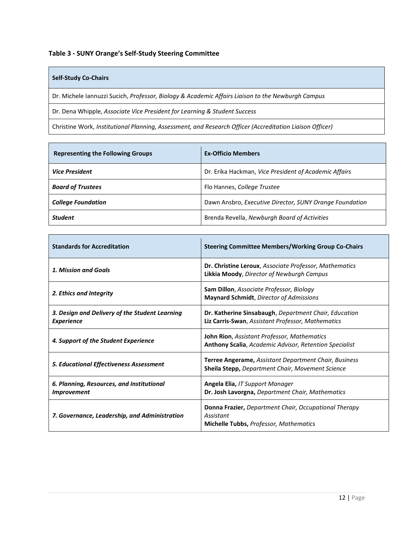**Table 3 - SUNY Orange's Self-Study Steering Committee**

#### **Self-Study Co-Chairs**

Dr. Michele Iannuzzi Sucich, *Professor, Biology & Academic Affairs Liaison to the Newburgh Campus*

Dr. Dena Whipple, *Associate Vice President for Learning & Student Success*

Christine Work, *Institutional Planning, Assessment, and Research Officer (Accreditation Liaison Officer)*

| <b>Representing the Following Groups</b> | <b>Ex-Officio Members</b>                               |
|------------------------------------------|---------------------------------------------------------|
| <b>Vice President</b>                    | Dr. Erika Hackman, Vice President of Academic Affairs   |
| <b>Board of Trustees</b>                 | Flo Hannes, College Trustee                             |
| <b>College Foundation</b>                | Dawn Ansbro, Executive Director, SUNY Orange Foundation |
| <b>Student</b>                           | Brenda Revella, Newburgh Board of Activities            |

| <b>Standards for Accreditation</b>                                     | <b>Steering Committee Members/Working Group Co-Chairs</b>                                                                  |
|------------------------------------------------------------------------|----------------------------------------------------------------------------------------------------------------------------|
| 1. Mission and Goals                                                   | <b>Dr. Christine Leroux</b> , Associate Professor, Mathematics<br><b>Likkia Moody, Director of Newburgh Campus</b>         |
| 2. Ethics and Integrity                                                | Sam Dillon, Associate Professor, Biology<br><b>Maynard Schmidt, Director of Admissions</b>                                 |
| 3. Design and Delivery of the Student Learning<br><b>Experience</b>    | Dr. Katherine Sinsabaugh, Department Chair, Education<br>Liz Carris-Swan, Assistant Professor, Mathematics                 |
| 4. Support of the Student Experience                                   | <b>John Rion</b> , Assistant Professor, Mathematics<br>Anthony Scalia, Academic Advisor, Retention Specialist              |
| 5. Educational Effectiveness Assessment                                | <b>Terree Angerame, Assistant Department Chair, Business</b><br><b>Sheila Stepp, Department Chair, Movement Science</b>    |
| 6. Planning, Resources, and Institutional<br><i><b>Improvement</b></i> | Angela Elia, IT Support Manager<br>Dr. Josh Lavorgna, Department Chair, Mathematics                                        |
| 7. Governance, Leadership, and Administration                          | <b>Donna Frazier, Department Chair, Occupational Therapy</b><br>Assistant<br><b>Michelle Tubbs, Professor, Mathematics</b> |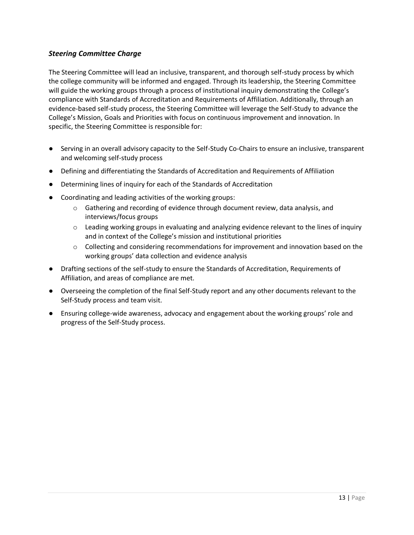### *Steering Committee Charge*

The Steering Committee will lead an inclusive, transparent, and thorough self-study process by which the college community will be informed and engaged. Through its leadership, the Steering Committee will guide the working groups through a process of institutional inquiry demonstrating the College's compliance with Standards of Accreditation and Requirements of Affiliation. Additionally, through an evidence-based self-study process, the Steering Committee will leverage the Self-Study to advance the College's Mission, Goals and Priorities with focus on continuous improvement and innovation. In specific, the Steering Committee is responsible for:

- Serving in an overall advisory capacity to the Self-Study Co-Chairs to ensure an inclusive, transparent and welcoming self-study process
- Defining and differentiating the Standards of Accreditation and Requirements of Affiliation
- Determining lines of inquiry for each of the Standards of Accreditation
- Coordinating and leading activities of the working groups:
	- $\circ$  Gathering and recording of evidence through document review, data analysis, and interviews/focus groups
	- $\circ$  Leading working groups in evaluating and analyzing evidence relevant to the lines of inquiry and in context of the College's mission and institutional priorities
	- $\circ$  Collecting and considering recommendations for improvement and innovation based on the working groups' data collection and evidence analysis
- Drafting sections of the self-study to ensure the Standards of Accreditation, Requirements of Affiliation, and areas of compliance are met.
- Overseeing the completion of the final Self-Study report and any other documents relevant to the Self-Study process and team visit.
- Ensuring college-wide awareness, advocacy and engagement about the working groups' role and progress of the Self-Study process.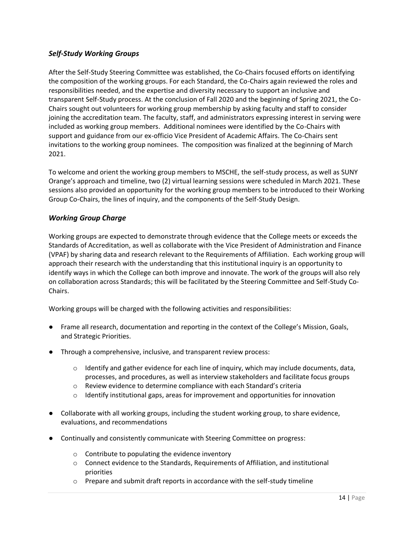### *Self-Study Working Groups*

After the Self-Study Steering Committee was established, the Co-Chairs focused efforts on identifying the composition of the working groups. For each Standard, the Co-Chairs again reviewed the roles and responsibilities needed, and the expertise and diversity necessary to support an inclusive and transparent Self-Study process. At the conclusion of Fall 2020 and the beginning of Spring 2021, the Co-Chairs sought out volunteers for working group membership by asking faculty and staff to consider joining the accreditation team. The faculty, staff, and administrators expressing interest in serving were included as working group members. Additional nominees were identified by the Co-Chairs with support and guidance from our ex-officio Vice President of Academic Affairs. The Co-Chairs sent invitations to the working group nominees. The composition was finalized at the beginning of March 2021.

To welcome and orient the working group members to MSCHE, the self-study process, as well as SUNY Orange's approach and timeline, two (2) virtual learning sessions were scheduled in March 2021. These sessions also provided an opportunity for the working group members to be introduced to their Working Group Co-Chairs, the lines of inquiry, and the components of the Self-Study Design.

### *Working Group Charge*

Working groups are expected to demonstrate through evidence that the College meets or exceeds the Standards of Accreditation, as well as collaborate with the Vice President of Administration and Finance (VPAF) by sharing data and research relevant to the Requirements of Affiliation. Each working group will approach their research with the understanding that this institutional inquiry is an opportunity to identify ways in which the College can both improve and innovate. The work of the groups will also rely on collaboration across Standards; this will be facilitated by the Steering Committee and Self-Study Co-Chairs.

Working groups will be charged with the following activities and responsibilities:

- Frame all research, documentation and reporting in the context of the College's Mission, Goals, and Strategic Priorities.
- Through a comprehensive, inclusive, and transparent review process:
	- $\circ$  Identify and gather evidence for each line of inquiry, which may include documents, data, processes, and procedures, as well as interview stakeholders and facilitate focus groups
	- o Review evidence to determine compliance with each Standard's criteria
	- $\circ$  Identify institutional gaps, areas for improvement and opportunities for innovation
- Collaborate with all working groups, including the student working group, to share evidence, evaluations, and recommendations
- Continually and consistently communicate with Steering Committee on progress:
	- $\circ$  Contribute to populating the evidence inventory
	- $\circ$  Connect evidence to the Standards, Requirements of Affiliation, and institutional priorities
	- $\circ$  Prepare and submit draft reports in accordance with the self-study timeline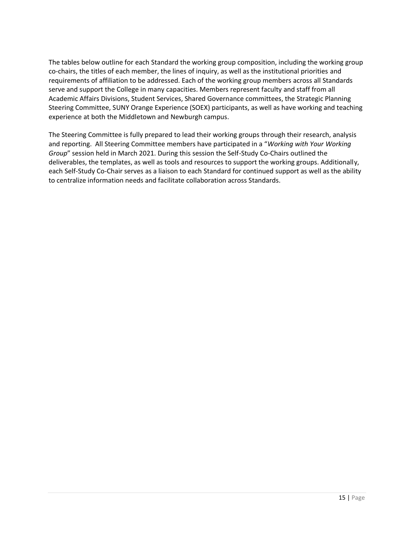The tables below outline for each Standard the working group composition, including the working group co-chairs, the titles of each member, the lines of inquiry, as well as the institutional priorities and requirements of affiliation to be addressed. Each of the working group members across all Standards serve and support the College in many capacities. Members represent faculty and staff from all Academic Affairs Divisions, Student Services, Shared Governance committees, the Strategic Planning Steering Committee, SUNY Orange Experience (SOEX) participants, as well as have working and teaching experience at both the Middletown and Newburgh campus.

The Steering Committee is fully prepared to lead their working groups through their research, analysis and reporting. All Steering Committee members have participated in a "*Working with Your Working Group*" session held in March 2021. During this session the Self-Study Co-Chairs outlined the deliverables, the templates, as well as tools and resources to support the working groups. Additionally, each Self-Study Co-Chair serves as a liaison to each Standard for continued support as well as the ability to centralize information needs and facilitate collaboration across Standards.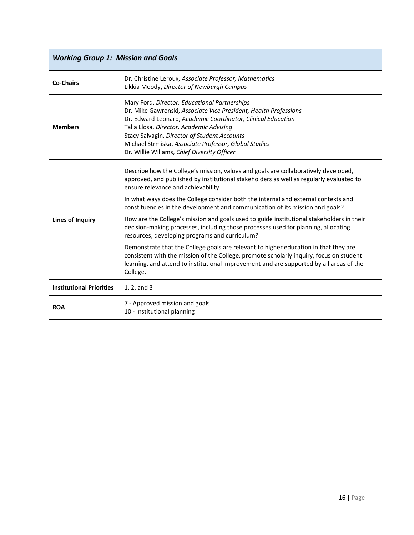| <b>Working Group 1: Mission and Goals</b> |                                                                                                                                                                                                                                                                                                                                                                                       |  |
|-------------------------------------------|---------------------------------------------------------------------------------------------------------------------------------------------------------------------------------------------------------------------------------------------------------------------------------------------------------------------------------------------------------------------------------------|--|
| <b>Co-Chairs</b>                          | Dr. Christine Leroux, Associate Professor, Mathematics<br>Likkia Moody, Director of Newburgh Campus                                                                                                                                                                                                                                                                                   |  |
| <b>Members</b>                            | Mary Ford, Director, Educational Partnerships<br>Dr. Mike Gawronski, Associate Vice President, Health Professions<br>Dr. Edward Leonard, Academic Coordinator, Clinical Education<br>Talia Llosa, Director, Academic Advising<br>Stacy Salvagin, Director of Student Accounts<br>Michael Strmiska, Associate Professor, Global Studies<br>Dr. Willie Wiliams, Chief Diversity Officer |  |
| <b>Lines of Inquiry</b>                   | Describe how the College's mission, values and goals are collaboratively developed,<br>approved, and published by institutional stakeholders as well as regularly evaluated to<br>ensure relevance and achievability.                                                                                                                                                                 |  |
|                                           | In what ways does the College consider both the internal and external contexts and<br>constituencies in the development and communication of its mission and goals?                                                                                                                                                                                                                   |  |
|                                           | How are the College's mission and goals used to guide institutional stakeholders in their<br>decision-making processes, including those processes used for planning, allocating<br>resources, developing programs and curriculum?                                                                                                                                                     |  |
|                                           | Demonstrate that the College goals are relevant to higher education in that they are<br>consistent with the mission of the College, promote scholarly inquiry, focus on student<br>learning, and attend to institutional improvement and are supported by all areas of the<br>College.                                                                                                |  |
| <b>Institutional Priorities</b>           | 1, 2, and 3                                                                                                                                                                                                                                                                                                                                                                           |  |
| <b>ROA</b>                                | 7 - Approved mission and goals<br>10 - Institutional planning                                                                                                                                                                                                                                                                                                                         |  |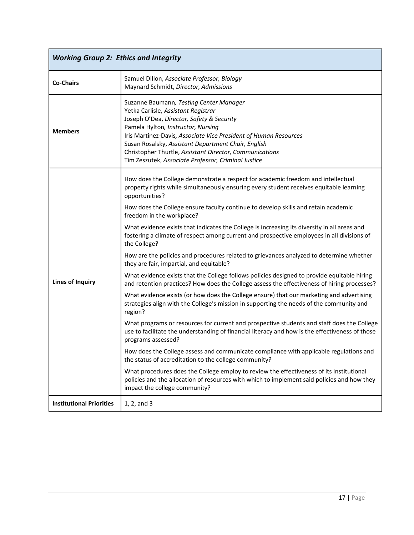| <b>Working Group 2: Ethics and Integrity</b> |                                                                                                                                                                                                                                                                                                                                                                                                                |  |
|----------------------------------------------|----------------------------------------------------------------------------------------------------------------------------------------------------------------------------------------------------------------------------------------------------------------------------------------------------------------------------------------------------------------------------------------------------------------|--|
| <b>Co-Chairs</b>                             | Samuel Dillon, Associate Professor, Biology<br>Maynard Schmidt, Director, Admissions                                                                                                                                                                                                                                                                                                                           |  |
| <b>Members</b>                               | Suzanne Baumann, Testing Center Manager<br>Yetka Carlisle, Assistant Registrar<br>Joseph O'Dea, Director, Safety & Security<br>Pamela Hylton, Instructor, Nursing<br>Iris Martinez-Davis, Associate Vice President of Human Resources<br>Susan Rosalsky, Assistant Department Chair, English<br>Christopher Thurtle, Assistant Director, Communications<br>Tim Zeszutek, Associate Professor, Criminal Justice |  |
|                                              | How does the College demonstrate a respect for academic freedom and intellectual<br>property rights while simultaneously ensuring every student receives equitable learning<br>opportunities?                                                                                                                                                                                                                  |  |
|                                              | How does the College ensure faculty continue to develop skills and retain academic<br>freedom in the workplace?                                                                                                                                                                                                                                                                                                |  |
|                                              | What evidence exists that indicates the College is increasing its diversity in all areas and<br>fostering a climate of respect among current and prospective employees in all divisions of<br>the College?                                                                                                                                                                                                     |  |
|                                              | How are the policies and procedures related to grievances analyzed to determine whether<br>they are fair, impartial, and equitable?                                                                                                                                                                                                                                                                            |  |
| <b>Lines of Inquiry</b>                      | What evidence exists that the College follows policies designed to provide equitable hiring<br>and retention practices? How does the College assess the effectiveness of hiring processes?                                                                                                                                                                                                                     |  |
|                                              | What evidence exists (or how does the College ensure) that our marketing and advertising<br>strategies align with the College's mission in supporting the needs of the community and<br>region?                                                                                                                                                                                                                |  |
|                                              | What programs or resources for current and prospective students and staff does the College<br>use to facilitate the understanding of financial literacy and how is the effectiveness of those<br>programs assessed?                                                                                                                                                                                            |  |
|                                              | How does the College assess and communicate compliance with applicable regulations and<br>the status of accreditation to the college community?                                                                                                                                                                                                                                                                |  |
|                                              | What procedures does the College employ to review the effectiveness of its institutional<br>policies and the allocation of resources with which to implement said policies and how they<br>impact the college community?                                                                                                                                                                                       |  |
| <b>Institutional Priorities</b>              | 1, 2, and 3                                                                                                                                                                                                                                                                                                                                                                                                    |  |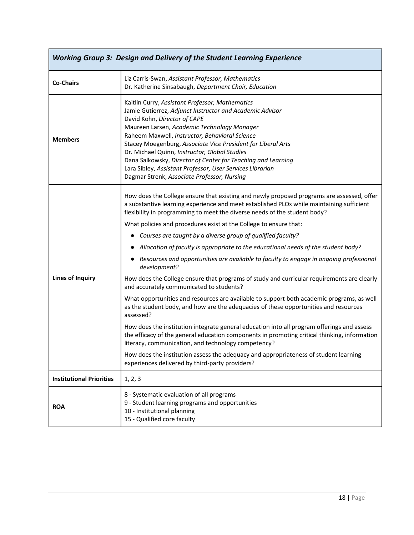| <b>Working Group 3: Design and Delivery of the Student Learning Experience</b> |                                                                                                                                                                                                                                                                                                                                                                                                                                                                                                                                                                                                        |  |
|--------------------------------------------------------------------------------|--------------------------------------------------------------------------------------------------------------------------------------------------------------------------------------------------------------------------------------------------------------------------------------------------------------------------------------------------------------------------------------------------------------------------------------------------------------------------------------------------------------------------------------------------------------------------------------------------------|--|
| <b>Co-Chairs</b>                                                               | Liz Carris-Swan, Assistant Professor, Mathematics<br>Dr. Katherine Sinsabaugh, Department Chair, Education                                                                                                                                                                                                                                                                                                                                                                                                                                                                                             |  |
| <b>Members</b>                                                                 | Kaitlin Curry, Assistant Professor, Mathematics<br>Jamie Gutierrez, Adjunct Instructor and Academic Advisor<br>David Kohn, Director of CAPE<br>Maureen Larsen, Academic Technology Manager<br>Raheem Maxwell, Instructor, Behavioral Science<br>Stacey Moegenburg, Associate Vice President for Liberal Arts<br>Dr. Michael Quinn, Instructor, Global Studies<br>Dana Salkowsky, Director of Center for Teaching and Learning<br>Lara Sibley, Assistant Professor, User Services Librarian<br>Dagmar Strenk, Associate Professor, Nursing                                                              |  |
|                                                                                | How does the College ensure that existing and newly proposed programs are assessed, offer<br>a substantive learning experience and meet established PLOs while maintaining sufficient<br>flexibility in programming to meet the diverse needs of the student body?<br>What policies and procedures exist at the College to ensure that:<br>Courses are taught by a diverse group of qualified faculty?<br>Allocation of faculty is appropriate to the educational needs of the student body?<br>Resources and opportunities are available to faculty to engage in ongoing professional<br>development? |  |
| <b>Lines of Inquiry</b>                                                        | How does the College ensure that programs of study and curricular requirements are clearly<br>and accurately communicated to students?                                                                                                                                                                                                                                                                                                                                                                                                                                                                 |  |
|                                                                                | What opportunities and resources are available to support both academic programs, as well<br>as the student body, and how are the adequacies of these opportunities and resources<br>assessed?                                                                                                                                                                                                                                                                                                                                                                                                         |  |
|                                                                                | How does the institution integrate general education into all program offerings and assess<br>the efficacy of the general education components in promoting critical thinking, information<br>literacy, communication, and technology competency?                                                                                                                                                                                                                                                                                                                                                      |  |
|                                                                                | How does the institution assess the adequacy and appropriateness of student learning<br>experiences delivered by third-party providers?                                                                                                                                                                                                                                                                                                                                                                                                                                                                |  |
| <b>Institutional Priorities</b>                                                | 1, 2, 3                                                                                                                                                                                                                                                                                                                                                                                                                                                                                                                                                                                                |  |
| <b>ROA</b>                                                                     | 8 - Systematic evaluation of all programs<br>9 - Student learning programs and opportunities<br>10 - Institutional planning<br>15 - Qualified core faculty                                                                                                                                                                                                                                                                                                                                                                                                                                             |  |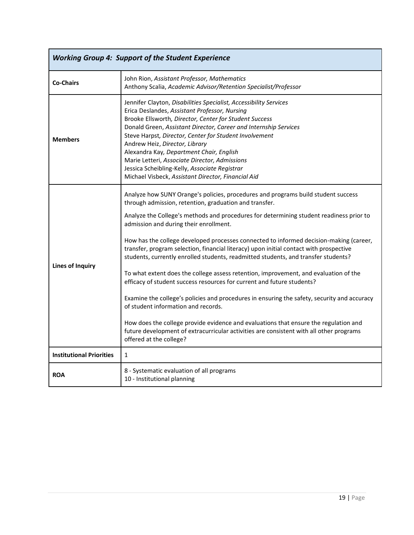| <b>Working Group 4: Support of the Student Experience</b> |                                                                                                                                                                                                                                                                                                                                                                                                                                                                                                                                                                                                                                                                                                                                                                                                                                                                                                                                                                                                                                                                                  |  |
|-----------------------------------------------------------|----------------------------------------------------------------------------------------------------------------------------------------------------------------------------------------------------------------------------------------------------------------------------------------------------------------------------------------------------------------------------------------------------------------------------------------------------------------------------------------------------------------------------------------------------------------------------------------------------------------------------------------------------------------------------------------------------------------------------------------------------------------------------------------------------------------------------------------------------------------------------------------------------------------------------------------------------------------------------------------------------------------------------------------------------------------------------------|--|
| <b>Co-Chairs</b>                                          | John Rion, Assistant Professor, Mathematics<br>Anthony Scalia, Academic Advisor/Retention Specialist/Professor                                                                                                                                                                                                                                                                                                                                                                                                                                                                                                                                                                                                                                                                                                                                                                                                                                                                                                                                                                   |  |
| <b>Members</b>                                            | Jennifer Clayton, Disabilities Specialist, Accessibility Services<br>Erica Deslandes, Assistant Professor, Nursing<br>Brooke Ellsworth, Director, Center for Student Success<br>Donald Green, Assistant Director, Career and Internship Services<br>Steve Harpst, Director, Center for Student Involvement<br>Andrew Heiz, Director, Library<br>Alexandra Kay, Department Chair, English<br>Marie Letteri, Associate Director, Admissions<br>Jessica Scheibling-Kelly, Associate Registrar<br>Michael Visbeck, Assistant Director, Financial Aid                                                                                                                                                                                                                                                                                                                                                                                                                                                                                                                                 |  |
| <b>Lines of Inquiry</b>                                   | Analyze how SUNY Orange's policies, procedures and programs build student success<br>through admission, retention, graduation and transfer.<br>Analyze the College's methods and procedures for determining student readiness prior to<br>admission and during their enrollment.<br>How has the college developed processes connected to informed decision-making (career,<br>transfer, program selection, financial literacy) upon initial contact with prospective<br>students, currently enrolled students, readmitted students, and transfer students?<br>To what extent does the college assess retention, improvement, and evaluation of the<br>efficacy of student success resources for current and future students?<br>Examine the college's policies and procedures in ensuring the safety, security and accuracy<br>of student information and records.<br>How does the college provide evidence and evaluations that ensure the regulation and<br>future development of extracurricular activities are consistent with all other programs<br>offered at the college? |  |
| <b>Institutional Priorities</b>                           | $\mathbf{1}$                                                                                                                                                                                                                                                                                                                                                                                                                                                                                                                                                                                                                                                                                                                                                                                                                                                                                                                                                                                                                                                                     |  |
| <b>ROA</b>                                                | 8 - Systematic evaluation of all programs<br>10 - Institutional planning                                                                                                                                                                                                                                                                                                                                                                                                                                                                                                                                                                                                                                                                                                                                                                                                                                                                                                                                                                                                         |  |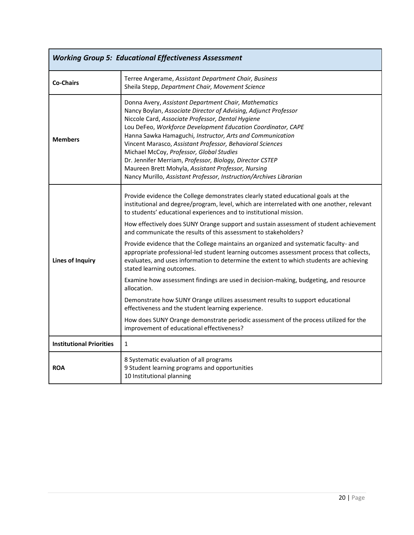| <b>Working Group 5: Educational Effectiveness Assessment</b> |                                                                                                                                                                                                                                                                                                                                                                                                                                                                                                                                                                                                                                                                                                                                                                                                                                                                                                                                                                                                                                                                                                                    |  |  |
|--------------------------------------------------------------|--------------------------------------------------------------------------------------------------------------------------------------------------------------------------------------------------------------------------------------------------------------------------------------------------------------------------------------------------------------------------------------------------------------------------------------------------------------------------------------------------------------------------------------------------------------------------------------------------------------------------------------------------------------------------------------------------------------------------------------------------------------------------------------------------------------------------------------------------------------------------------------------------------------------------------------------------------------------------------------------------------------------------------------------------------------------------------------------------------------------|--|--|
| <b>Co-Chairs</b>                                             | Terree Angerame, Assistant Department Chair, Business<br>Sheila Stepp, Department Chair, Movement Science                                                                                                                                                                                                                                                                                                                                                                                                                                                                                                                                                                                                                                                                                                                                                                                                                                                                                                                                                                                                          |  |  |
| <b>Members</b>                                               | Donna Avery, Assistant Department Chair, Mathematics<br>Nancy Boylan, Associate Director of Advising, Adjunct Professor<br>Niccole Card, Associate Professor, Dental Hygiene<br>Lou DeFeo, Workforce Development Education Coordinator, CAPE<br>Hanna Sawka Hamaguchi, Instructor, Arts and Communication<br>Vincent Marasco, Assistant Professor, Behavioral Sciences<br>Michael McCoy, Professor, Global Studies<br>Dr. Jennifer Merriam, Professor, Biology, Director CSTEP<br>Maureen Brett Mohyla, Assistant Professor, Nursing<br>Nancy Murillo, Assistant Professor, Instruction/Archives Librarian                                                                                                                                                                                                                                                                                                                                                                                                                                                                                                         |  |  |
| <b>Lines of Inquiry</b>                                      | Provide evidence the College demonstrates clearly stated educational goals at the<br>institutional and degree/program, level, which are interrelated with one another, relevant<br>to students' educational experiences and to institutional mission.<br>How effectively does SUNY Orange support and sustain assessment of student achievement<br>and communicate the results of this assessment to stakeholders?<br>Provide evidence that the College maintains an organized and systematic faculty- and<br>appropriate professional-led student learning outcomes assessment process that collects,<br>evaluates, and uses information to determine the extent to which students are achieving<br>stated learning outcomes.<br>Examine how assessment findings are used in decision-making, budgeting, and resource<br>allocation.<br>Demonstrate how SUNY Orange utilizes assessment results to support educational<br>effectiveness and the student learning experience.<br>How does SUNY Orange demonstrate periodic assessment of the process utilized for the<br>improvement of educational effectiveness? |  |  |
| <b>Institutional Priorities</b>                              | $\mathbf{1}$                                                                                                                                                                                                                                                                                                                                                                                                                                                                                                                                                                                                                                                                                                                                                                                                                                                                                                                                                                                                                                                                                                       |  |  |
| <b>ROA</b>                                                   | 8 Systematic evaluation of all programs<br>9 Student learning programs and opportunities<br>10 Institutional planning                                                                                                                                                                                                                                                                                                                                                                                                                                                                                                                                                                                                                                                                                                                                                                                                                                                                                                                                                                                              |  |  |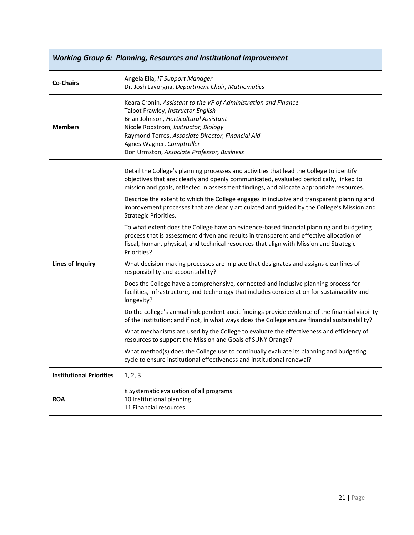| <b>Working Group 6: Planning, Resources and Institutional Improvement</b> |                                                                                                                                                                                                                                                                                                                         |  |
|---------------------------------------------------------------------------|-------------------------------------------------------------------------------------------------------------------------------------------------------------------------------------------------------------------------------------------------------------------------------------------------------------------------|--|
| <b>Co-Chairs</b>                                                          | Angela Elia, IT Support Manager<br>Dr. Josh Lavorgna, Department Chair, Mathematics                                                                                                                                                                                                                                     |  |
| <b>Members</b>                                                            | Keara Cronin, Assistant to the VP of Administration and Finance<br>Talbot Frawley, Instructor English<br>Brian Johnson, Horticultural Assistant<br>Nicole Rodstrom, Instructor, Biology<br>Raymond Torres, Associate Director, Financial Aid<br>Agnes Wagner, Comptroller<br>Don Urmston, Associate Professor, Business |  |
|                                                                           | Detail the College's planning processes and activities that lead the College to identify<br>objectives that are: clearly and openly communicated, evaluated periodically, linked to<br>mission and goals, reflected in assessment findings, and allocate appropriate resources.                                         |  |
|                                                                           | Describe the extent to which the College engages in inclusive and transparent planning and<br>improvement processes that are clearly articulated and guided by the College's Mission and<br>Strategic Priorities.                                                                                                       |  |
|                                                                           | To what extent does the College have an evidence-based financial planning and budgeting<br>process that is assessment driven and results in transparent and effective allocation of<br>fiscal, human, physical, and technical resources that align with Mission and Strategic<br>Priorities?                            |  |
| <b>Lines of Inquiry</b>                                                   | What decision-making processes are in place that designates and assigns clear lines of<br>responsibility and accountability?                                                                                                                                                                                            |  |
|                                                                           | Does the College have a comprehensive, connected and inclusive planning process for<br>facilities, infrastructure, and technology that includes consideration for sustainability and<br>longevity?                                                                                                                      |  |
|                                                                           | Do the college's annual independent audit findings provide evidence of the financial viability<br>of the institution; and if not, in what ways does the College ensure financial sustainability?                                                                                                                        |  |
|                                                                           | What mechanisms are used by the College to evaluate the effectiveness and efficiency of<br>resources to support the Mission and Goals of SUNY Orange?                                                                                                                                                                   |  |
|                                                                           | What method(s) does the College use to continually evaluate its planning and budgeting<br>cycle to ensure institutional effectiveness and institutional renewal?                                                                                                                                                        |  |
| <b>Institutional Priorities</b>                                           | 1, 2, 3                                                                                                                                                                                                                                                                                                                 |  |
| <b>ROA</b>                                                                | 8 Systematic evaluation of all programs<br>10 Institutional planning<br>11 Financial resources                                                                                                                                                                                                                          |  |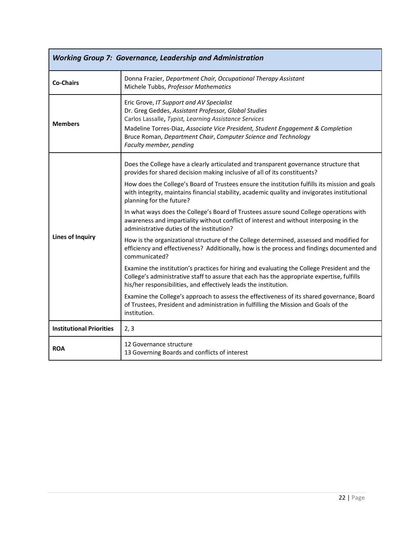| <b>Working Group 7: Governance, Leadership and Administration</b> |                                                                                                                                                                                                                                                                                                                                           |  |  |  |  |
|-------------------------------------------------------------------|-------------------------------------------------------------------------------------------------------------------------------------------------------------------------------------------------------------------------------------------------------------------------------------------------------------------------------------------|--|--|--|--|
| <b>Co-Chairs</b>                                                  | Donna Frazier, Department Chair, Occupational Therapy Assistant<br>Michele Tubbs, Professor Mathematics                                                                                                                                                                                                                                   |  |  |  |  |
| <b>Members</b>                                                    | Eric Grove, IT Support and AV Specialist<br>Dr. Greg Geddes, Assistant Professor, Global Studies<br>Carlos Lassalle, Typist, Learning Assistance Services<br>Madeline Torres-Diaz, Associate Vice President, Student Engagement & Completion<br>Bruce Roman, Department Chair, Computer Science and Technology<br>Faculty member, pending |  |  |  |  |
| <b>Lines of Inquiry</b>                                           | Does the College have a clearly articulated and transparent governance structure that<br>provides for shared decision making inclusive of all of its constituents?                                                                                                                                                                        |  |  |  |  |
|                                                                   | How does the College's Board of Trustees ensure the institution fulfills its mission and goals<br>with integrity, maintains financial stability, academic quality and invigorates institutional<br>planning for the future?                                                                                                               |  |  |  |  |
|                                                                   | In what ways does the College's Board of Trustees assure sound College operations with<br>awareness and impartiality without conflict of interest and without interposing in the<br>administrative duties of the institution?                                                                                                             |  |  |  |  |
|                                                                   | How is the organizational structure of the College determined, assessed and modified for<br>efficiency and effectiveness? Additionally, how is the process and findings documented and<br>communicated?                                                                                                                                   |  |  |  |  |
|                                                                   | Examine the institution's practices for hiring and evaluating the College President and the<br>College's administrative staff to assure that each has the appropriate expertise, fulfills<br>his/her responsibilities, and effectively leads the institution.                                                                             |  |  |  |  |
|                                                                   | Examine the College's approach to assess the effectiveness of its shared governance, Board<br>of Trustees, President and administration in fulfilling the Mission and Goals of the<br>institution.                                                                                                                                        |  |  |  |  |
| <b>Institutional Priorities</b>                                   | 2, 3                                                                                                                                                                                                                                                                                                                                      |  |  |  |  |
| <b>ROA</b>                                                        | 12 Governance structure<br>13 Governing Boards and conflicts of interest                                                                                                                                                                                                                                                                  |  |  |  |  |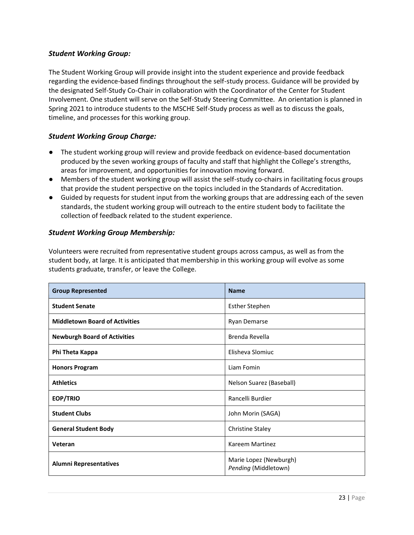### *Student Working Group:*

The Student Working Group will provide insight into the student experience and provide feedback regarding the evidence-based findings throughout the self-study process. Guidance will be provided by the designated Self-Study Co-Chair in collaboration with the Coordinator of the Center for Student Involvement. One student will serve on the Self-Study Steering Committee. An orientation is planned in Spring 2021 to introduce students to the MSCHE Self-Study process as well as to discuss the goals, timeline, and processes for this working group.

### *Student Working Group Charge:*

- The student working group will review and provide feedback on evidence-based documentation produced by the seven working groups of faculty and staff that highlight the College's strengths, areas for improvement, and opportunities for innovation moving forward.
- Members of the student working group will assist the self-study co-chairs in facilitating focus groups that provide the student perspective on the topics included in the Standards of Accreditation.
- Guided by requests for student input from the working groups that are addressing each of the seven standards, the student working group will outreach to the entire student body to facilitate the collection of feedback related to the student experience.

### *Student Working Group Membership:*

Volunteers were recruited from representative student groups across campus, as well as from the student body, at large. It is anticipated that membership in this working group will evolve as some students graduate, transfer, or leave the College.

| <b>Group Represented</b>              | <b>Name</b>                                    |
|---------------------------------------|------------------------------------------------|
| <b>Student Senate</b>                 | <b>Esther Stephen</b>                          |
| <b>Middletown Board of Activities</b> | Ryan Demarse                                   |
| <b>Newburgh Board of Activities</b>   | Brenda Revella                                 |
| Phi Theta Kappa                       | Elisheva Slomiuc                               |
| <b>Honors Program</b>                 | Liam Fomin                                     |
| <b>Athletics</b>                      | Nelson Suarez (Baseball)                       |
| <b>EOP/TRIO</b>                       | Rancelli Burdier                               |
| <b>Student Clubs</b>                  | John Morin (SAGA)                              |
| <b>General Student Body</b>           | <b>Christine Staley</b>                        |
| Veteran                               | Kareem Martinez                                |
| <b>Alumni Representatives</b>         | Marie Lopez (Newburgh)<br>Pending (Middletown) |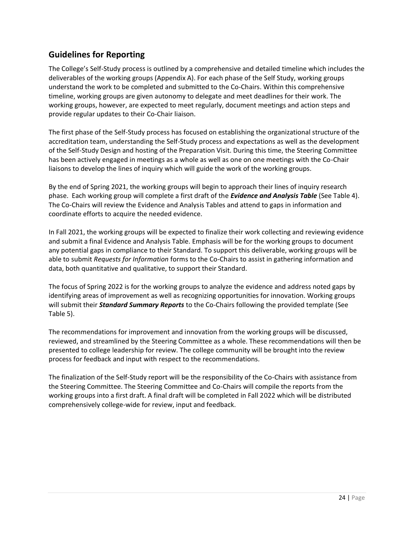## <span id="page-23-0"></span>**Guidelines for Reporting**

The College's Self-Study process is outlined by a comprehensive and detailed timeline which includes the deliverables of the working groups (Appendix A). For each phase of the Self Study, working groups understand the work to be completed and submitted to the Co-Chairs. Within this comprehensive timeline, working groups are given autonomy to delegate and meet deadlines for their work. The working groups, however, are expected to meet regularly, document meetings and action steps and provide regular updates to their Co-Chair liaison.

The first phase of the Self-Study process has focused on establishing the organizational structure of the accreditation team, understanding the Self-Study process and expectations as well as the development of the Self-Study Design and hosting of the Preparation Visit. During this time, the Steering Committee has been actively engaged in meetings as a whole as well as one on one meetings with the Co-Chair liaisons to develop the lines of inquiry which will guide the work of the working groups.

By the end of Spring 2021, the working groups will begin to approach their lines of inquiry research phase. Each working group will complete a first draft of the *Evidence and Analysis Table* (See Table 4). The Co-Chairs will review the Evidence and Analysis Tables and attend to gaps in information and coordinate efforts to acquire the needed evidence.

In Fall 2021, the working groups will be expected to finalize their work collecting and reviewing evidence and submit a final Evidence and Analysis Table. Emphasis will be for the working groups to document any potential gaps in compliance to their Standard. To support this deliverable, working groups will be able to submit *Requests for Information* forms to the Co-Chairs to assist in gathering information and data, both quantitative and qualitative, to support their Standard.

The focus of Spring 2022 is for the working groups to analyze the evidence and address noted gaps by identifying areas of improvement as well as recognizing opportunities for innovation. Working groups will submit their *Standard Summary Reports* to the Co-Chairs following the provided template (See Table 5).

The recommendations for improvement and innovation from the working groups will be discussed, reviewed, and streamlined by the Steering Committee as a whole. These recommendations will then be presented to college leadership for review. The college community will be brought into the review process for feedback and input with respect to the recommendations.

The finalization of the Self-Study report will be the responsibility of the Co-Chairs with assistance from the Steering Committee. The Steering Committee and Co-Chairs will compile the reports from the working groups into a first draft. A final draft will be completed in Fall 2022 which will be distributed comprehensively college-wide for review, input and feedback.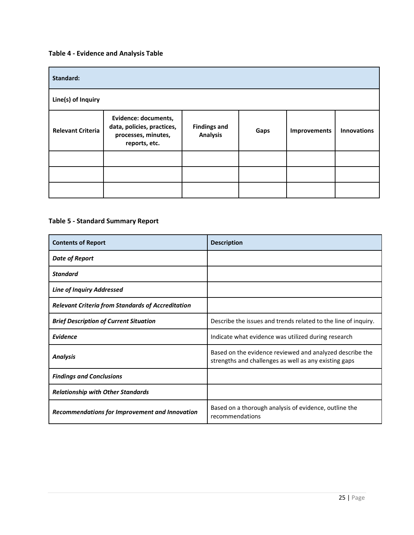## **Table 4 - Evidence and Analysis Table**

| Standard:                |                                                                                            |                                        |      |              |                    |
|--------------------------|--------------------------------------------------------------------------------------------|----------------------------------------|------|--------------|--------------------|
| Line(s) of Inquiry       |                                                                                            |                                        |      |              |                    |
| <b>Relevant Criteria</b> | Evidence: documents,<br>data, policies, practices,<br>processes, minutes,<br>reports, etc. | <b>Findings and</b><br><b>Analysis</b> | Gaps | Improvements | <b>Innovations</b> |
|                          |                                                                                            |                                        |      |              |                    |
|                          |                                                                                            |                                        |      |              |                    |
|                          |                                                                                            |                                        |      |              |                    |

### **Table 5 - Standard Summary Report**

| <b>Contents of Report</b>                                | <b>Description</b>                                                                                                |
|----------------------------------------------------------|-------------------------------------------------------------------------------------------------------------------|
| <b>Date of Report</b>                                    |                                                                                                                   |
| <b>Standard</b>                                          |                                                                                                                   |
| <b>Line of Inquiry Addressed</b>                         |                                                                                                                   |
| <b>Relevant Criteria from Standards of Accreditation</b> |                                                                                                                   |
| <b>Brief Description of Current Situation</b>            | Describe the issues and trends related to the line of inquiry.                                                    |
| <b>Evidence</b>                                          | Indicate what evidence was utilized during research                                                               |
| <b>Analysis</b>                                          | Based on the evidence reviewed and analyzed describe the<br>strengths and challenges as well as any existing gaps |
| <b>Findings and Conclusions</b>                          |                                                                                                                   |
| <b>Relationship with Other Standards</b>                 |                                                                                                                   |
| Recommendations for Improvement and Innovation           | Based on a thorough analysis of evidence, outline the<br>recommendations                                          |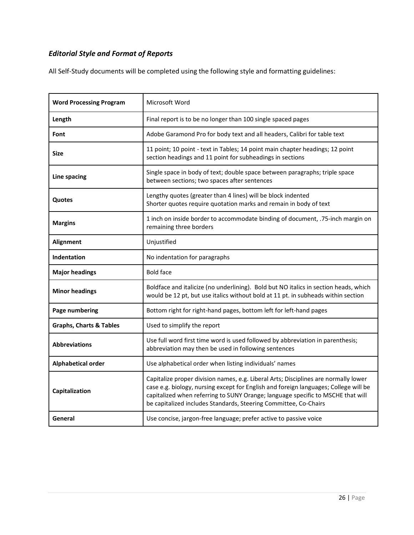# *Editorial Style and Format of Reports*

All Self-Study documents will be completed using the following style and formatting guidelines:

| <b>Word Processing Program</b>     | Microsoft Word                                                                                                                                                                                                                                                                                                                     |
|------------------------------------|------------------------------------------------------------------------------------------------------------------------------------------------------------------------------------------------------------------------------------------------------------------------------------------------------------------------------------|
|                                    |                                                                                                                                                                                                                                                                                                                                    |
| Length                             | Final report is to be no longer than 100 single spaced pages                                                                                                                                                                                                                                                                       |
| Font                               | Adobe Garamond Pro for body text and all headers, Calibri for table text                                                                                                                                                                                                                                                           |
| Size                               | 11 point; 10 point - text in Tables; 14 point main chapter headings; 12 point<br>section headings and 11 point for subheadings in sections                                                                                                                                                                                         |
| Line spacing                       | Single space in body of text; double space between paragraphs; triple space<br>between sections; two spaces after sentences                                                                                                                                                                                                        |
| Quotes                             | Lengthy quotes (greater than 4 lines) will be block indented<br>Shorter quotes require quotation marks and remain in body of text                                                                                                                                                                                                  |
| <b>Margins</b>                     | 1 inch on inside border to accommodate binding of document, .75-inch margin on<br>remaining three borders                                                                                                                                                                                                                          |
| Alignment                          | Unjustified                                                                                                                                                                                                                                                                                                                        |
| Indentation                        | No indentation for paragraphs                                                                                                                                                                                                                                                                                                      |
| <b>Major headings</b>              | <b>Bold face</b>                                                                                                                                                                                                                                                                                                                   |
| <b>Minor headings</b>              | Boldface and italicize (no underlining). Bold but NO italics in section heads, which<br>would be 12 pt, but use italics without bold at 11 pt. in subheads within section                                                                                                                                                          |
| Page numbering                     | Bottom right for right-hand pages, bottom left for left-hand pages                                                                                                                                                                                                                                                                 |
| <b>Graphs, Charts &amp; Tables</b> | Used to simplify the report                                                                                                                                                                                                                                                                                                        |
| <b>Abbreviations</b>               | Use full word first time word is used followed by abbreviation in parenthesis;<br>abbreviation may then be used in following sentences                                                                                                                                                                                             |
| Alphabetical order                 | Use alphabetical order when listing individuals' names                                                                                                                                                                                                                                                                             |
| Capitalization                     | Capitalize proper division names, e.g. Liberal Arts; Disciplines are normally lower<br>case e.g. biology, nursing except for English and foreign languages; College will be<br>capitalized when referring to SUNY Orange; language specific to MSCHE that will<br>be capitalized includes Standards, Steering Committee, Co-Chairs |
| General                            | Use concise, jargon-free language; prefer active to passive voice                                                                                                                                                                                                                                                                  |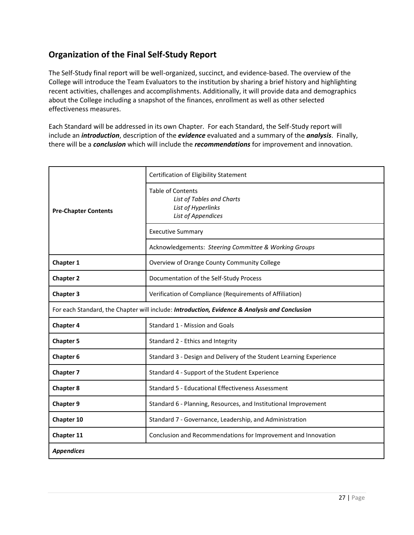## <span id="page-26-0"></span>**Organization of the Final Self-Study Report**

The Self-Study final report will be well-organized, succinct, and evidence-based. The overview of the College will introduce the Team Evaluators to the institution by sharing a brief history and highlighting recent activities, challenges and accomplishments. Additionally, it will provide data and demographics about the College including a snapshot of the finances, enrollment as well as other selected effectiveness measures.

Each Standard will be addressed in its own Chapter. For each Standard, the Self-Study report will include an *introduction*, description of the *evidence* evaluated and a summary of the *analysis*. Finally, there will be a *conclusion* which will include the *recommendations* for improvement and innovation.

|                             | Certification of Eligibility Statement                                                            |
|-----------------------------|---------------------------------------------------------------------------------------------------|
| <b>Pre-Chapter Contents</b> | <b>Table of Contents</b><br>List of Tables and Charts<br>List of Hyperlinks<br>List of Appendices |
|                             | <b>Executive Summary</b>                                                                          |
|                             | Acknowledgements: Steering Committee & Working Groups                                             |
| Chapter 1                   | Overview of Orange County Community College                                                       |
| <b>Chapter 2</b>            | Documentation of the Self-Study Process                                                           |
| <b>Chapter 3</b>            | Verification of Compliance (Requirements of Affiliation)                                          |
|                             | For each Standard, the Chapter will include: Introduction, Evidence & Analysis and Conclusion     |
| <b>Chapter 4</b>            | Standard 1 - Mission and Goals                                                                    |
| <b>Chapter 5</b>            | Standard 2 - Ethics and Integrity                                                                 |
| <b>Chapter 6</b>            | Standard 3 - Design and Delivery of the Student Learning Experience                               |
| <b>Chapter 7</b>            | Standard 4 - Support of the Student Experience                                                    |
| <b>Chapter 8</b>            | <b>Standard 5 - Educational Effectiveness Assessment</b>                                          |
| <b>Chapter 9</b>            | Standard 6 - Planning, Resources, and Institutional Improvement                                   |
| Chapter 10                  | Standard 7 - Governance, Leadership, and Administration                                           |
| Chapter 11                  | Conclusion and Recommendations for Improvement and Innovation                                     |
| <b>Appendices</b>           |                                                                                                   |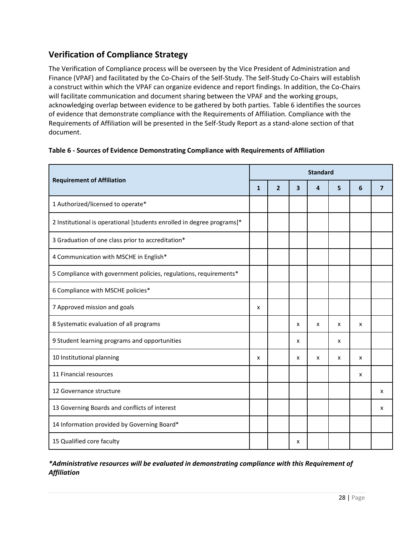## <span id="page-27-0"></span>**Verification of Compliance Strategy**

The Verification of Compliance process will be overseen by the Vice President of Administration and Finance (VPAF) and facilitated by the Co-Chairs of the Self-Study. The Self-Study Co-Chairs will establish a construct within which the VPAF can organize evidence and report findings. In addition, the Co-Chairs will facilitate communication and document sharing between the VPAF and the working groups, acknowledging overlap between evidence to be gathered by both parties. Table 6 identifies the sources of evidence that demonstrate compliance with the Requirements of Affiliation. Compliance with the Requirements of Affiliation will be presented in the Self-Study Report as a stand-alone section of that document.

| Table 6 - Sources of Evidence Demonstrating Compliance with Requirements of Affiliation |
|-----------------------------------------------------------------------------------------|
|-----------------------------------------------------------------------------------------|

|                                                                        |              | <b>Standard</b> |   |   |   |   |                         |
|------------------------------------------------------------------------|--------------|-----------------|---|---|---|---|-------------------------|
| <b>Requirement of Affiliation</b>                                      | $\mathbf{1}$ | $\overline{2}$  | 3 | 4 | 5 | 6 | $\overline{\mathbf{z}}$ |
| 1 Authorized/licensed to operate*                                      |              |                 |   |   |   |   |                         |
| 2 Institutional is operational [students enrolled in degree programs]* |              |                 |   |   |   |   |                         |
| 3 Graduation of one class prior to accreditation*                      |              |                 |   |   |   |   |                         |
| 4 Communication with MSCHE in English*                                 |              |                 |   |   |   |   |                         |
| 5 Compliance with government policies, regulations, requirements*      |              |                 |   |   |   |   |                         |
| 6 Compliance with MSCHE policies*                                      |              |                 |   |   |   |   |                         |
| 7 Approved mission and goals                                           | x            |                 |   |   |   |   |                         |
| 8 Systematic evaluation of all programs                                |              |                 | x | x | X | x |                         |
| 9 Student learning programs and opportunities                          |              |                 | x |   | x |   |                         |
| 10 Institutional planning                                              | x            |                 | x | x | x | x |                         |
| 11 Financial resources                                                 |              |                 |   |   |   | x |                         |
| 12 Governance structure                                                |              |                 |   |   |   |   | x                       |
| 13 Governing Boards and conflicts of interest                          |              |                 |   |   |   |   | x                       |
| 14 Information provided by Governing Board*                            |              |                 |   |   |   |   |                         |
| 15 Qualified core faculty                                              |              |                 | х |   |   |   |                         |

*\*Administrative resources will be evaluated in demonstrating compliance with this Requirement of Affiliation*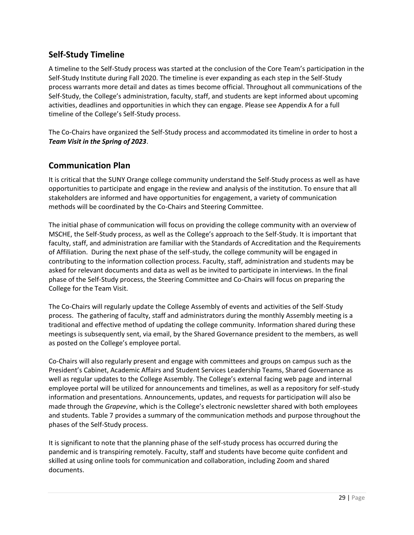## <span id="page-28-0"></span>**Self-Study Timeline**

A timeline to the Self-Study process was started at the conclusion of the Core Team's participation in the Self-Study Institute during Fall 2020. The timeline is ever expanding as each step in the Self-Study process warrants more detail and dates as times become official. Throughout all communications of the Self-Study, the College's administration, faculty, staff, and students are kept informed about upcoming activities, deadlines and opportunities in which they can engage. Please see Appendix A for a full timeline of the College's Self-Study process.

The Co-Chairs have organized the Self-Study process and accommodated its timeline in order to host a *Team Visit in the Spring of 2023*.

### <span id="page-28-1"></span>**Communication Plan**

It is critical that the SUNY Orange college community understand the Self-Study process as well as have opportunities to participate and engage in the review and analysis of the institution. To ensure that all stakeholders are informed and have opportunities for engagement, a variety of communication methods will be coordinated by the Co-Chairs and Steering Committee.

The initial phase of communication will focus on providing the college community with an overview of MSCHE, the Self-Study process, as well as the College's approach to the Self-Study. It is important that faculty, staff, and administration are familiar with the Standards of Accreditation and the Requirements of Affiliation. During the next phase of the self-study, the college community will be engaged in contributing to the information collection process. Faculty, staff, administration and students may be asked for relevant documents and data as well as be invited to participate in interviews. In the final phase of the Self-Study process, the Steering Committee and Co-Chairs will focus on preparing the College for the Team Visit.

The Co-Chairs will regularly update the College Assembly of events and activities of the Self-Study process. The gathering of faculty, staff and administrators during the monthly Assembly meeting is a traditional and effective method of updating the college community. Information shared during these meetings is subsequently sent, via email, by the Shared Governance president to the members, as well as posted on the College's employee portal.

Co-Chairs will also regularly present and engage with committees and groups on campus such as the President's Cabinet, Academic Affairs and Student Services Leadership Teams, Shared Governance as well as regular updates to the College Assembly. The College's external facing web page and internal employee portal will be utilized for announcements and timelines, as well as a repository for self-study information and presentations. Announcements, updates, and requests for participation will also be made through the *Grapevine*, which is the College's electronic newsletter shared with both employees and students. Table 7 provides a summary of the communication methods and purpose throughout the phases of the Self-Study process.

It is significant to note that the planning phase of the self-study process has occurred during the pandemic and is transpiring remotely. Faculty, staff and students have become quite confident and skilled at using online tools for communication and collaboration, including Zoom and shared documents.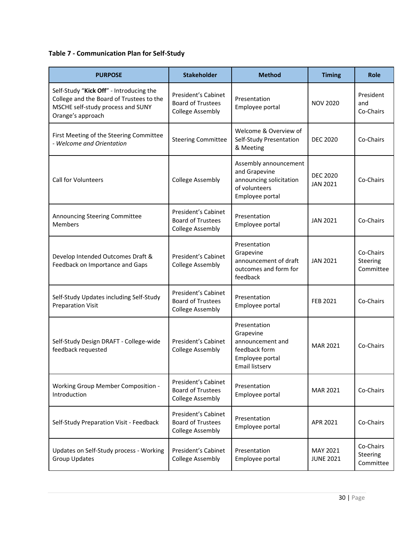## **Table 7 - Communication Plan for Self-Study**

| <b>PURPOSE</b>                                                                                                                                | <b>Stakeholder</b>                                                         | <b>Method</b>                                                                                         | <b>Timing</b>                      | <b>Role</b>                        |
|-----------------------------------------------------------------------------------------------------------------------------------------------|----------------------------------------------------------------------------|-------------------------------------------------------------------------------------------------------|------------------------------------|------------------------------------|
| Self-Study "Kick Off" - Introducing the<br>College and the Board of Trustees to the<br>MSCHE self-study process and SUNY<br>Orange's approach | President's Cabinet<br><b>Board of Trustees</b><br><b>College Assembly</b> | Presentation<br>Employee portal                                                                       | <b>NOV 2020</b>                    | President<br>and<br>Co-Chairs      |
| First Meeting of the Steering Committee<br>- Welcome and Orientation                                                                          | <b>Steering Committee</b>                                                  | Welcome & Overview of<br>Self-Study Presentation<br>& Meeting                                         | <b>DEC 2020</b>                    | Co-Chairs                          |
| <b>Call for Volunteers</b>                                                                                                                    | <b>College Assembly</b>                                                    | Assembly announcement<br>and Grapevine<br>announcing solicitation<br>of volunteers<br>Employee portal | <b>DEC 2020</b><br><b>JAN 2021</b> | Co-Chairs                          |
| Announcing Steering Committee<br><b>Members</b>                                                                                               | President's Cabinet<br><b>Board of Trustees</b><br><b>College Assembly</b> | Presentation<br>Employee portal                                                                       | <b>JAN 2021</b>                    | Co-Chairs                          |
| Develop Intended Outcomes Draft &<br>Feedback on Importance and Gaps                                                                          | President's Cabinet<br><b>College Assembly</b>                             | Presentation<br>Grapevine<br>announcement of draft<br>outcomes and form for<br>feedback               | <b>JAN 2021</b>                    | Co-Chairs<br>Steering<br>Committee |
| Self-Study Updates including Self-Study<br><b>Preparation Visit</b>                                                                           | President's Cabinet<br><b>Board of Trustees</b><br><b>College Assembly</b> | Presentation<br>Employee portal                                                                       | <b>FEB 2021</b>                    | Co-Chairs                          |
| Self-Study Design DRAFT - College-wide<br>feedback requested                                                                                  | President's Cabinet<br><b>College Assembly</b>                             | Presentation<br>Grapevine<br>announcement and<br>feedback form<br>Employee portal<br>Email listserv   | <b>MAR 2021</b>                    | Co-Chairs                          |
| <b>Working Group Member Composition -</b><br>Introduction                                                                                     | President's Cabinet<br><b>Board of Trustees</b><br><b>College Assembly</b> | Presentation<br>Employee portal                                                                       | <b>MAR 2021</b>                    | Co-Chairs                          |
| Self-Study Preparation Visit - Feedback                                                                                                       | President's Cabinet<br><b>Board of Trustees</b><br><b>College Assembly</b> | Presentation<br>Employee portal                                                                       | APR 2021                           | Co-Chairs                          |
| Updates on Self-Study process - Working<br><b>Group Updates</b>                                                                               | President's Cabinet<br><b>College Assembly</b>                             | Presentation<br>Employee portal                                                                       | MAY 2021<br><b>JUNE 2021</b>       | Co-Chairs<br>Steering<br>Committee |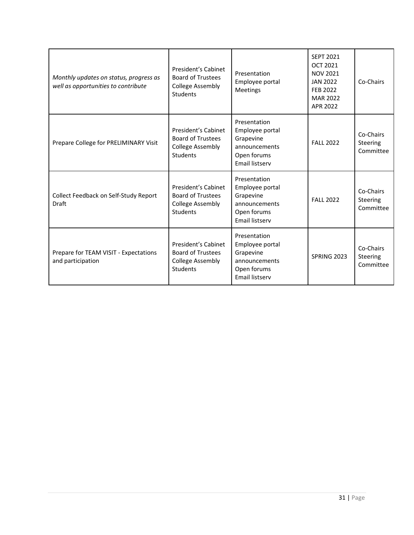| Monthly updates on status, progress as<br>well as opportunities to contribute | President's Cabinet<br><b>Board of Trustees</b><br><b>College Assembly</b><br>Students        | Presentation<br>Employee portal<br><b>Meetings</b>                                                    | <b>SFPT 2021</b><br>OCT 2021<br><b>NOV 2021</b><br><b>JAN 2022</b><br><b>FEB 2022</b><br><b>MAR 2022</b><br>APR 2022 | Co-Chairs                          |
|-------------------------------------------------------------------------------|-----------------------------------------------------------------------------------------------|-------------------------------------------------------------------------------------------------------|----------------------------------------------------------------------------------------------------------------------|------------------------------------|
| Prepare College for PRELIMINARY Visit                                         | President's Cabinet<br><b>Board of Trustees</b><br><b>College Assembly</b><br><b>Students</b> | Presentation<br>Employee portal<br>Grapevine<br>announcements<br>Open forums<br><b>Email listserv</b> | <b>FALL 2022</b>                                                                                                     | Co-Chairs<br>Steering<br>Committee |
| Collect Feedback on Self-Study Report<br>Draft                                | President's Cabinet<br><b>Board of Trustees</b><br><b>College Assembly</b><br><b>Students</b> | Presentation<br>Employee portal<br>Grapevine<br>announcements<br>Open forums<br>Email listserv        | <b>FALL 2022</b>                                                                                                     | Co-Chairs<br>Steering<br>Committee |
| Prepare for TEAM VISIT - Expectations<br>and participation                    | President's Cabinet<br><b>Board of Trustees</b><br><b>College Assembly</b><br><b>Students</b> | Presentation<br>Employee portal<br>Grapevine<br>announcements<br>Open forums<br><b>Email listserv</b> | SPRING 2023                                                                                                          | Co-Chairs<br>Steering<br>Committee |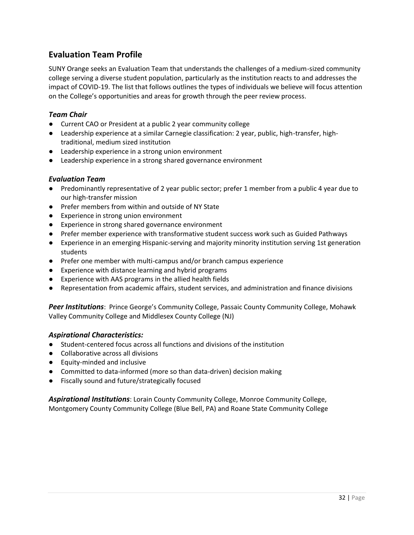## <span id="page-31-0"></span>**Evaluation Team Profile**

SUNY Orange seeks an Evaluation Team that understands the challenges of a medium-sized community college serving a diverse student population, particularly as the institution reacts to and addresses the impact of COVID-19. The list that follows outlines the types of individuals we believe will focus attention on the College's opportunities and areas for growth through the peer review process.

### *Team Chair*

- Current CAO or President at a public 2 year community college
- Leadership experience at a similar Carnegie classification: 2 year, public, high-transfer, hightraditional, medium sized institution
- Leadership experience in a strong union environment
- Leadership experience in a strong shared governance environment

### *Evaluation Team*

- Predominantly representative of 2 year public sector; prefer 1 member from a public 4 year due to our high-transfer mission
- Prefer members from within and outside of NY State
- Experience in strong union environment
- Experience in strong shared governance environment
- Prefer member experience with transformative student success work such as Guided Pathways
- Experience in an emerging Hispanic-serving and majority minority institution serving 1st generation students
- Prefer one member with multi-campus and/or branch campus experience
- Experience with distance learning and hybrid programs
- Experience with AAS programs in the allied health fields
- Representation from academic affairs, student services, and administration and finance divisions

*Peer Institutions*: Prince George's Community College, Passaic County Community College, Mohawk Valley Community College and Middlesex County College (NJ)

#### *Aspirational Characteristics:*

- Student-centered focus across all functions and divisions of the institution
- Collaborative across all divisions
- Equity-minded and inclusive
- Committed to data-informed (more so than data-driven) decision making
- Fiscally sound and future/strategically focused

*Aspirational Institutions*: Lorain County Community College, Monroe Community College, Montgomery County Community College (Blue Bell, PA) and Roane State Community College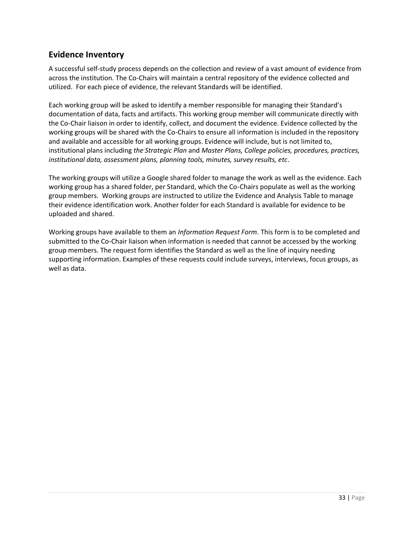## <span id="page-32-0"></span>**Evidence Inventory**

A successful self-study process depends on the collection and review of a vast amount of evidence from across the institution. The Co-Chairs will maintain a central repository of the evidence collected and utilized. For each piece of evidence, the relevant Standards will be identified.

Each working group will be asked to identify a member responsible for managing their Standard's documentation of data, facts and artifacts. This working group member will communicate directly with the Co-Chair liaison in order to identify, collect, and document the evidence. Evidence collected by the working groups will be shared with the Co-Chairs to ensure all information is included in the repository and available and accessible for all working groups. Evidence will include, but is not limited to, institutional plans including *the Strategic Plan* and *Master Plans, College policies, procedures, practices, institutional data, assessment plans, planning tools, minutes, survey results, etc*.

The working groups will utilize a Google shared folder to manage the work as well as the evidence. Each working group has a shared folder, per Standard, which the Co-Chairs populate as well as the working group members. Working groups are instructed to utilize the Evidence and Analysis Table to manage their evidence identification work. Another folder for each Standard is available for evidence to be uploaded and shared.

Working groups have available to them an *Information Request Form*. This form is to be completed and submitted to the Co-Chair liaison when information is needed that cannot be accessed by the working group members. The request form identifies the Standard as well as the line of inquiry needing supporting information. Examples of these requests could include surveys, interviews, focus groups, as well as data.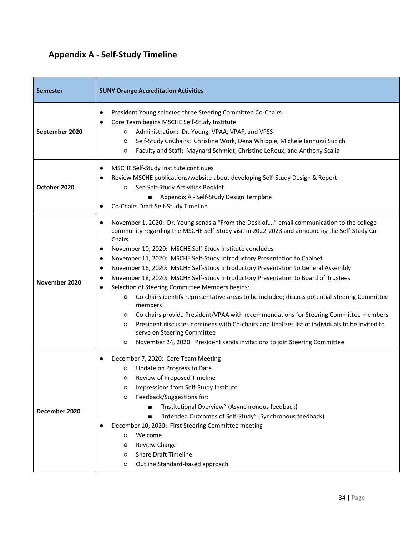# <span id="page-33-0"></span>**Appendix A - Self-Study Timeline**

| <b>Semester</b> | <b>SUNY Orange Accreditation Activities</b>                                                                                                                                                                                                                                                                                                                                                                                                                                                                                                                                                                                                                                                                                                                                                                                                                                                                                                                                                                                                                |
|-----------------|------------------------------------------------------------------------------------------------------------------------------------------------------------------------------------------------------------------------------------------------------------------------------------------------------------------------------------------------------------------------------------------------------------------------------------------------------------------------------------------------------------------------------------------------------------------------------------------------------------------------------------------------------------------------------------------------------------------------------------------------------------------------------------------------------------------------------------------------------------------------------------------------------------------------------------------------------------------------------------------------------------------------------------------------------------|
| September 2020  | President Young selected three Steering Committee Co-Chairs<br>Core Team begins MSCHE Self-Study Institute<br>Administration: Dr. Young, VPAA, VPAF, and VPSS<br>O<br>Self-Study CoChairs: Christine Work, Dena Whipple, Michele Iannuzzi Sucich<br>O<br>Faculty and Staff: Maynard Schmidt, Christine LeRoux, and Anthony Scalia<br>O                                                                                                                                                                                                                                                                                                                                                                                                                                                                                                                                                                                                                                                                                                                     |
| October 2020    | MSCHE Self-Study Institute continues<br>$\bullet$<br>Review MSCHE publications/website about developing Self-Study Design & Report<br>See Self-Study Activities Booklet<br>$\circ$<br>Appendix A - Self-Study Design Template<br>Co-Chairs Draft Self-Study Timeline                                                                                                                                                                                                                                                                                                                                                                                                                                                                                                                                                                                                                                                                                                                                                                                       |
| November 2020   | November 1, 2020: Dr. Young sends a "From the Desk of" email communication to the college<br>community regarding the MSCHE Self-Study visit in 2022-2023 and announcing the Self-Study Co-<br>Chairs.<br>November 10, 2020: MSCHE Self-Study Institute concludes<br>٠<br>November 11, 2020: MSCHE Self-Study Introductory Presentation to Cabinet<br>$\bullet$<br>November 16, 2020: MSCHE Self-Study Introductory Presentation to General Assembly<br>$\bullet$<br>November 18, 2020: MSCHE Self-Study Introductory Presentation to Board of Trustees<br>Selection of Steering Committee Members begins:<br>Co-chairs identify representative areas to be included; discuss potential Steering Committee<br>O<br>members<br>Co-chairs provide President/VPAA with recommendations for Steering Committee members<br>$\circ$<br>President discusses nominees with Co-chairs and finalizes list of individuals to be invited to<br>$\circ$<br>serve on Steering Committee<br>November 24, 2020: President sends invitations to join Steering Committee<br>O |
| December 2020   | December 7, 2020: Core Team Meeting<br>Update on Progress to Date<br>O<br>O Review of Proposed Timeline<br>Impressions from Self-Study Institute<br>O<br>Feedback/Suggestions for:<br>O<br>"Institutional Overview" (Asynchronous feedback)<br>"Intended Outcomes of Self-Study" (Synchronous feedback)<br>December 10, 2020: First Steering Committee meeting<br>Welcome<br>O<br>Review Charge<br>O<br><b>Share Draft Timeline</b><br>O<br>Outline Standard-based approach<br>O                                                                                                                                                                                                                                                                                                                                                                                                                                                                                                                                                                           |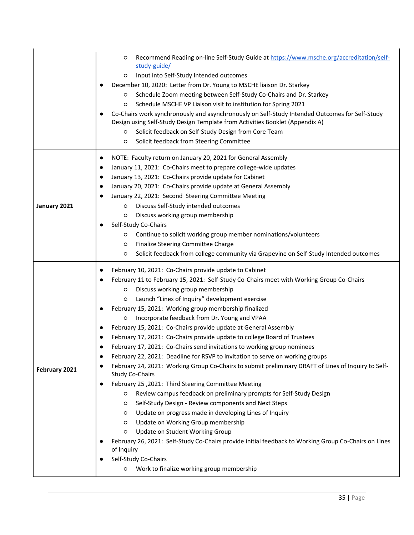|               | Recommend Reading on-line Self-Study Guide at https://www.msche.org/accreditation/self-<br>O<br>study-guide/<br>Input into Self-Study Intended outcomes<br>O<br>December 10, 2020: Letter from Dr. Young to MSCHE liaison Dr. Starkey<br>Schedule Zoom meeting between Self-Study Co-Chairs and Dr. Starkey<br>O<br>Schedule MSCHE VP Liaison visit to institution for Spring 2021<br>O<br>Co-Chairs work synchronously and asynchronously on Self-Study Intended Outcomes for Self-Study<br>Design using Self-Study Design Template from Activities Booklet (Appendix A)<br>Solicit feedback on Self-Study Design from Core Team<br>O<br>Solicit feedback from Steering Committee<br>O                                                                                                                                                                                                                                                                                                                                                                                                                                                                                                                                                                                                                                                                                     |
|---------------|-----------------------------------------------------------------------------------------------------------------------------------------------------------------------------------------------------------------------------------------------------------------------------------------------------------------------------------------------------------------------------------------------------------------------------------------------------------------------------------------------------------------------------------------------------------------------------------------------------------------------------------------------------------------------------------------------------------------------------------------------------------------------------------------------------------------------------------------------------------------------------------------------------------------------------------------------------------------------------------------------------------------------------------------------------------------------------------------------------------------------------------------------------------------------------------------------------------------------------------------------------------------------------------------------------------------------------------------------------------------------------|
| January 2021  | NOTE: Faculty return on January 20, 2021 for General Assembly<br>$\bullet$<br>January 11, 2021: Co-Chairs meet to prepare college-wide updates<br>$\bullet$<br>January 13, 2021: Co-Chairs provide update for Cabinet<br>$\bullet$<br>January 20, 2021: Co-Chairs provide update at General Assembly<br>$\bullet$<br>January 22, 2021: Second Steering Committee Meeting<br>Discuss Self-Study intended outcomes<br>O<br>Discuss working group membership<br>O<br>Self-Study Co-Chairs<br>Continue to solicit working group member nominations/volunteers<br>O<br>Finalize Steering Committee Charge<br>O<br>Solicit feedback from college community via Grapevine on Self-Study Intended outcomes<br>O                                                                                                                                                                                                                                                                                                                                                                                                                                                                                                                                                                                                                                                                     |
| February 2021 | February 10, 2021: Co-Chairs provide update to Cabinet<br>$\bullet$<br>February 11 to February 15, 2021: Self-Study Co-Chairs meet with Working Group Co-Chairs<br>Discuss working group membership<br>O<br>Launch "Lines of Inquiry" development exercise<br>O<br>February 15, 2021: Working group membership finalized<br>Incorporate feedback from Dr. Young and VPAA<br>O<br>February 15, 2021: Co-Chairs provide update at General Assembly<br>February 17, 2021: Co-Chairs provide update to college Board of Trustees<br>February 17, 2021: Co-Chairs send invitations to working group nominees<br>February 22, 2021: Deadline for RSVP to invitation to serve on working groups<br>February 24, 2021: Working Group Co-Chairs to submit preliminary DRAFT of Lines of Inquiry to Self-<br><b>Study Co-Chairs</b><br>February 25, 2021: Third Steering Committee Meeting<br>Review campus feedback on preliminary prompts for Self-Study Design<br>O<br>Self-Study Design - Review components and Next Steps<br>O<br>Update on progress made in developing Lines of Inquiry<br>O<br>Update on Working Group membership<br>O<br>Update on Student Working Group<br>O<br>February 26, 2021: Self-Study Co-Chairs provide initial feedback to Working Group Co-Chairs on Lines<br>of Inquiry<br>Self-Study Co-Chairs<br>Work to finalize working group membership<br>O |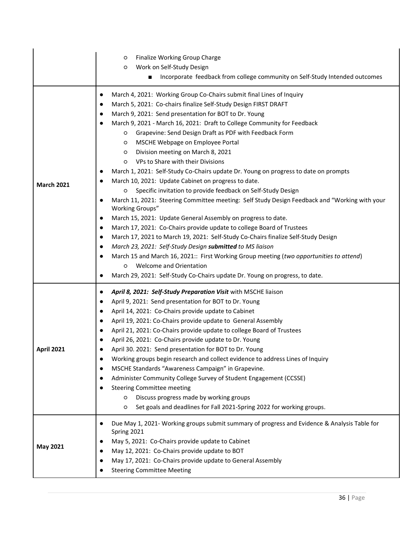|                   | Finalize Working Group Charge<br>O<br>Work on Self-Study Design<br>O<br>Incorporate feedback from college community on Self-Study Intended outcomes                                                                                                                                                                                                                                                                                                                                                                                                                                                                                                                                                                                                                                                                                                                                                                                                                                                                                                                                                                                                                                                                                                                                                                                                                                                          |
|-------------------|--------------------------------------------------------------------------------------------------------------------------------------------------------------------------------------------------------------------------------------------------------------------------------------------------------------------------------------------------------------------------------------------------------------------------------------------------------------------------------------------------------------------------------------------------------------------------------------------------------------------------------------------------------------------------------------------------------------------------------------------------------------------------------------------------------------------------------------------------------------------------------------------------------------------------------------------------------------------------------------------------------------------------------------------------------------------------------------------------------------------------------------------------------------------------------------------------------------------------------------------------------------------------------------------------------------------------------------------------------------------------------------------------------------|
| <b>March 2021</b> | March 4, 2021: Working Group Co-Chairs submit final Lines of Inquiry<br>$\bullet$<br>March 5, 2021: Co-chairs finalize Self-Study Design FIRST DRAFT<br>$\bullet$<br>March 9, 2021: Send presentation for BOT to Dr. Young<br>March 9, 2021 - March 16, 2021: Draft to College Community for Feedback<br>Grapevine: Send Design Draft as PDF with Feedback Form<br>$\circ$<br>MSCHE Webpage on Employee Portal<br>O<br>Division meeting on March 8, 2021<br>O<br>VPs to Share with their Divisions<br>O<br>March 1, 2021: Self-Study Co-Chairs update Dr. Young on progress to date on prompts<br>March 10, 2021: Update Cabinet on progress to date.<br>Specific invitation to provide feedback on Self-Study Design<br>O<br>March 11, 2021: Steering Committee meeting: Self Study Design Feedback and "Working with your<br>Working Groups"<br>March 15, 2021: Update General Assembly on progress to date.<br>$\bullet$<br>March 17, 2021: Co-Chairs provide update to college Board of Trustees<br>٠<br>March 17, 2021 to March 19, 2021: Self-Study Co-Chairs finalize Self-Study Design<br>$\bullet$<br>March 23, 2021: Self-Study Design submitted to MS liaison<br>$\bullet$<br>March 15 and March 16, 2021:: First Working Group meeting (two opportunities to attend)<br><b>Welcome and Orientation</b><br>$\circ$<br>March 29, 2021: Self-Study Co-Chairs update Dr. Young on progress, to date. |
| April 2021        | April 8, 2021: Self-Study Preparation Visit with MSCHE liaison<br>April 9, 2021: Send presentation for BOT to Dr. Young<br>$\bullet$<br>April 14, 2021: Co-Chairs provide update to Cabinet<br>April 19, 2021: Co-Chairs provide update to General Assembly<br>April 21, 2021: Co-Chairs provide update to college Board of Trustees<br>$\bullet$<br>April 26, 2021: Co-Chairs provide update to Dr. Young<br>April 30. 2021: Send presentation for BOT to Dr. Young<br>Working groups begin research and collect evidence to address Lines of Inquiry<br>MSCHE Standards "Awareness Campaign" in Grapevine.<br>Administer Community College Survey of Student Engagement (CCSSE)<br><b>Steering Committee meeting</b><br>Discuss progress made by working groups<br>O<br>Set goals and deadlines for Fall 2021-Spring 2022 for working groups.<br>O                                                                                                                                                                                                                                                                                                                                                                                                                                                                                                                                                         |
| <b>May 2021</b>   | Due May 1, 2021- Working groups submit summary of progress and Evidence & Analysis Table for<br>Spring 2021<br>May 5, 2021: Co-Chairs provide update to Cabinet<br>May 12, 2021: Co-Chairs provide update to BOT<br>May 17, 2021: Co-Chairs provide update to General Assembly<br><b>Steering Committee Meeting</b>                                                                                                                                                                                                                                                                                                                                                                                                                                                                                                                                                                                                                                                                                                                                                                                                                                                                                                                                                                                                                                                                                          |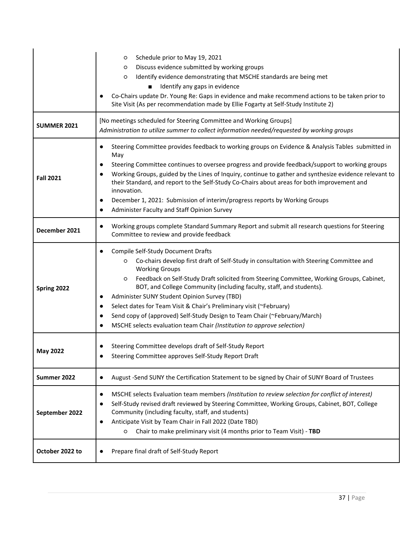|                    | Schedule prior to May 19, 2021<br>O<br>Discuss evidence submitted by working groups<br>O<br>Identify evidence demonstrating that MSCHE standards are being met<br>O<br>Identify any gaps in evidence<br>Co-Chairs update Dr. Young Re: Gaps in evidence and make recommend actions to be taken prior to<br>Site Visit (As per recommendation made by Ellie Fogarty at Self-Study Institute 2)                                                                                                                                                                                                                      |  |
|--------------------|--------------------------------------------------------------------------------------------------------------------------------------------------------------------------------------------------------------------------------------------------------------------------------------------------------------------------------------------------------------------------------------------------------------------------------------------------------------------------------------------------------------------------------------------------------------------------------------------------------------------|--|
| <b>SUMMER 2021</b> | [No meetings scheduled for Steering Committee and Working Groups]<br>Administration to utilize summer to collect information needed/requested by working groups                                                                                                                                                                                                                                                                                                                                                                                                                                                    |  |
| <b>Fall 2021</b>   | Steering Committee provides feedback to working groups on Evidence & Analysis Tables submitted in<br>May<br>Steering Committee continues to oversee progress and provide feedback/support to working groups<br>$\bullet$<br>Working Groups, guided by the Lines of Inquiry, continue to gather and synthesize evidence relevant to<br>their Standard, and report to the Self-Study Co-Chairs about areas for both improvement and<br>innovation.<br>December 1, 2021: Submission of interim/progress reports by Working Groups<br>Administer Faculty and Staff Opinion Survey                                      |  |
| December 2021      | Working groups complete Standard Summary Report and submit all research questions for Steering<br>Committee to review and provide feedback                                                                                                                                                                                                                                                                                                                                                                                                                                                                         |  |
| Spring 2022        | Compile Self-Study Document Drafts<br>Co-chairs develop first draft of Self-Study in consultation with Steering Committee and<br>O<br><b>Working Groups</b><br>Feedback on Self-Study Draft solicited from Steering Committee, Working Groups, Cabinet,<br>O<br>BOT, and College Community (including faculty, staff, and students).<br>Administer SUNY Student Opinion Survey (TBD)<br>Select dates for Team Visit & Chair's Preliminary visit (~February)<br>Send copy of (approved) Self-Study Design to Team Chair (~February/March)<br>MSCHE selects evaluation team Chair (Institution to approve selection) |  |
| <b>May 2022</b>    | Steering Committee develops draft of Self-Study Report<br>Steering Committee approves Self-Study Report Draft                                                                                                                                                                                                                                                                                                                                                                                                                                                                                                      |  |
| Summer 2022        | August -Send SUNY the Certification Statement to be signed by Chair of SUNY Board of Trustees                                                                                                                                                                                                                                                                                                                                                                                                                                                                                                                      |  |
| September 2022     | MSCHE selects Evaluation team members (Institution to review selection for conflict of interest)<br>Self-Study revised draft reviewed by Steering Committee, Working Groups, Cabinet, BOT, College<br>$\bullet$<br>Community (including faculty, staff, and students)<br>Anticipate Visit by Team Chair in Fall 2022 (Date TBD)<br>Chair to make preliminary visit (4 months prior to Team Visit) - TBD<br>O                                                                                                                                                                                                       |  |
| October 2022 to    | Prepare final draft of Self-Study Report                                                                                                                                                                                                                                                                                                                                                                                                                                                                                                                                                                           |  |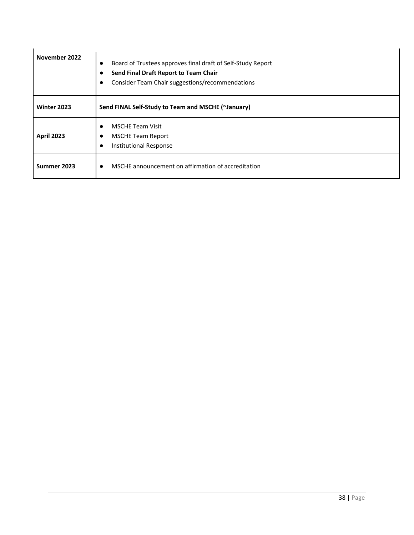| November 2022     | Board of Trustees approves final draft of Self-Study Report<br>$\bullet$<br>Send Final Draft Report to Team Chair<br>Consider Team Chair suggestions/recommendations |
|-------------------|----------------------------------------------------------------------------------------------------------------------------------------------------------------------|
| Winter 2023       | Send FINAL Self-Study to Team and MSCHE (~January)                                                                                                                   |
| <b>April 2023</b> | <b>MSCHE Team Visit</b><br><b>MSCHE Team Report</b><br><b>Institutional Response</b><br>$\bullet$                                                                    |
| Summer 2023       | MSCHE announcement on affirmation of accreditation                                                                                                                   |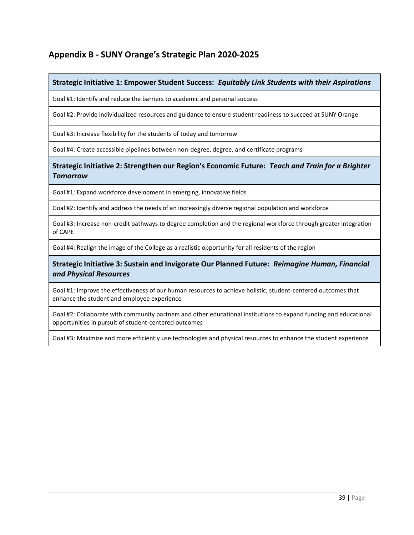## <span id="page-38-0"></span>**Appendix B - SUNY Orange's Strategic Plan 2020-2025**

### **Strategic Initiative 1: Empower Student Success:** *Equitably Link Students with their Aspirations*

Goal #1: Identify and reduce the barriers to academic and personal success

Goal #2: Provide individualized resources and guidance to ensure student readiness to succeed at SUNY Orange

Goal #3: Increase flexibility for the students of today and tomorrow

Goal #4: Create accessible pipelines between non-degree, degree, and certificate programs

**Strategic Initiative 2: Strengthen our Region's Economic Future:** *Teach and Train for a Brighter Tomorrow*

Goal #1: Expand workforce development in emerging, innovative fields

Goal #2: Identify and address the needs of an increasingly diverse regional population and workforce

Goal #3: Increase non-credit pathways to degree completion and the regional workforce through greater integration of CAPE

Goal #4: Realign the image of the College as a realistic opportunity for all residents of the region

**Strategic Initiative 3: Sustain and Invigorate Our Planned Future:** *Reimagine Human, Financial and Physical Resources*

Goal #1: Improve the effectiveness of our human resources to achieve holistic, student-centered outcomes that enhance the student and employee experience

Goal #2: Collaborate with community partners and other educational institutions to expand funding and educational opportunities in pursuit of student-centered outcomes

Goal #3: Maximize and more efficiently use technologies and physical resources to enhance the student experience